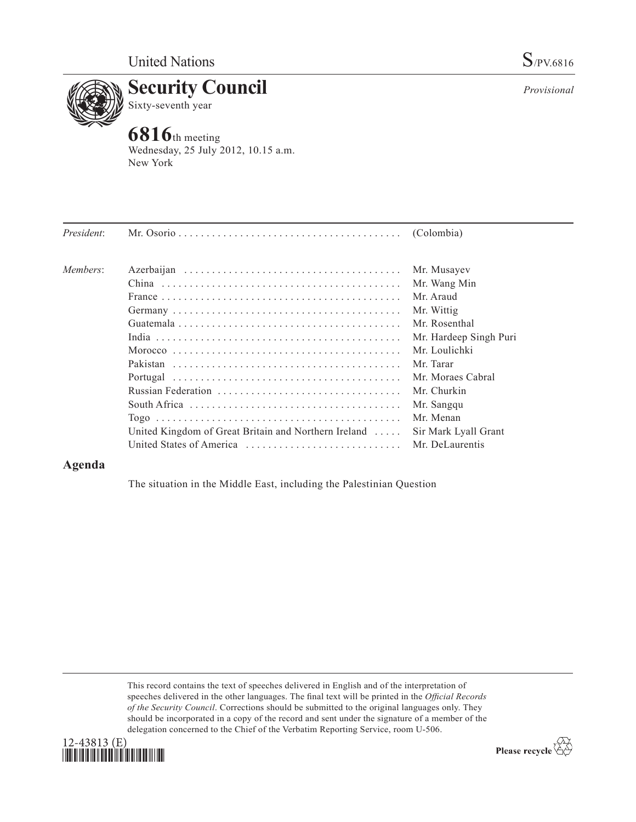

# **Security Council** Sixty-seventh year

**6816**th meeting Wednesday, 25 July 2012, 10.15 a.m. New York

| President: |                                                                                      | (Colombia)             |
|------------|--------------------------------------------------------------------------------------|------------------------|
| Members:   |                                                                                      | Mr. Musayev            |
|            |                                                                                      | Mr. Wang Min           |
|            |                                                                                      | Mr. Araud              |
|            |                                                                                      | Mr. Wittig             |
|            |                                                                                      | Mr. Rosenthal          |
|            |                                                                                      | Mr. Hardeep Singh Puri |
|            | Morocco                                                                              | Mr. Loulichki          |
|            |                                                                                      | Mr. Tarar              |
|            |                                                                                      | Mr. Moraes Cabral      |
|            |                                                                                      | Mr. Churkin            |
|            | South Africa $\ldots \ldots \ldots \ldots \ldots \ldots \ldots \ldots \ldots \ldots$ | Mr. Sangqu             |
|            |                                                                                      | Mr. Menan              |
|            | United Kingdom of Great Britain and Northern Ireland $\dots$                         | Sir Mark Lyall Grant   |
|            |                                                                                      | Mr. DeLaurentis        |
|            |                                                                                      |                        |

## **Agenda**

The situation in the Middle East, including the Palestinian Question

This record contains the text of speeches delivered in English and of the interpretation of speeches delivered in the other languages. The final text will be printed in the *Official Records of the Security Council*. Corrections should be submitted to the original languages only. They should be incorporated in a copy of the record and sent under the signature of a member of the delegation concerned to the Chief of the Verbatim Reporting Service, room U-506.



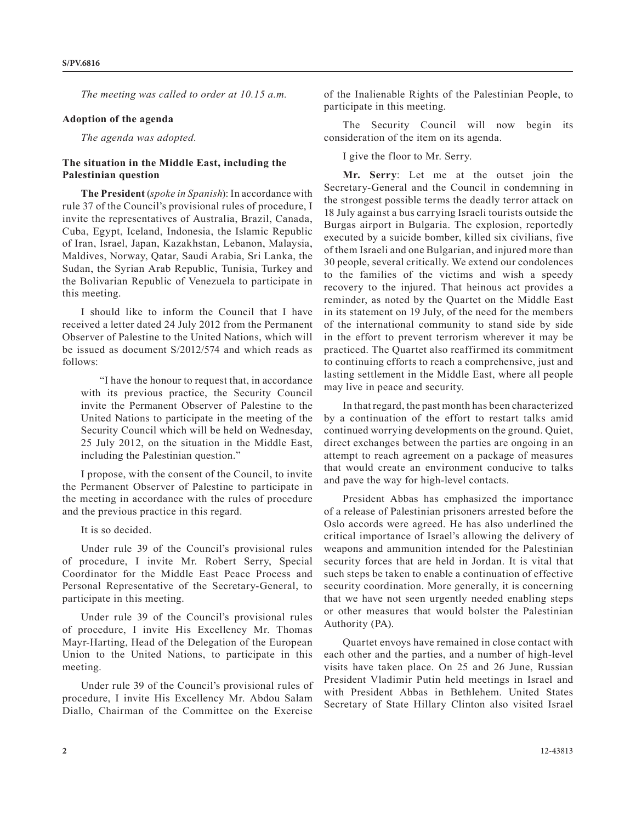*The meeting was called to order at 10.15 a.m.*

#### **Adoption of the agenda**

*The agenda was adopted.*

### **The situation in the Middle East, including the Palestinian question**

**The President** (*spoke in Spanish*): In accordance with rule 37 of the Council's provisional rules of procedure, I invite the representatives of Australia, Brazil, Canada, Cuba, Egypt, Iceland, Indonesia, the Islamic Republic of Iran, Israel, Japan, Kazakhstan, Lebanon, Malaysia, Maldives, Norway, Qatar, Saudi Arabia, Sri Lanka, the Sudan, the Syrian Arab Republic, Tunisia, Turkey and the Bolivarian Republic of Venezuela to participate in this meeting.

I should like to inform the Council that I have received a letter dated 24 July 2012 from the Permanent Observer of Palestine to the United Nations, which will be issued as document S/2012/574 and which reads as follows:

"I have the honour to request that, in accordance with its previous practice, the Security Council invite the Permanent Observer of Palestine to the United Nations to participate in the meeting of the Security Council which will be held on Wednesday, 25 July 2012, on the situation in the Middle East, including the Palestinian question."

I propose, with the consent of the Council, to invite the Permanent Observer of Palestine to participate in the meeting in accordance with the rules of procedure and the previous practice in this regard.

It is so decided.

Under rule 39 of the Council's provisional rules of procedure, I invite Mr. Robert Serry, Special Coordinator for the Middle East Peace Process and Personal Representative of the Secretary-General, to participate in this meeting.

Under rule 39 of the Council's provisional rules of procedure, I invite His Excellency Mr. Thomas Mayr-Harting, Head of the Delegation of the European Union to the United Nations, to participate in this meeting.

Under rule 39 of the Council's provisional rules of procedure, I invite His Excellency Mr. Abdou Salam Diallo, Chairman of the Committee on the Exercise

of the Inalienable Rights of the Palestinian People, to participate in this meeting.

The Security Council will now begin its consideration of the item on its agenda.

I give the floor to Mr. Serry.

**Mr. Serry**: Let me at the outset join the Secretary-General and the Council in condemning in the strongest possible terms the deadly terror attack on 18 July against a bus carrying Israeli tourists outside the Burgas airport in Bulgaria. The explosion, reportedly executed by a suicide bomber, killed six civilians, five of them Israeli and one Bulgarian, and injured more than 30 people, several critically. We extend our condolences to the families of the victims and wish a speedy recovery to the injured. That heinous act provides a reminder, as noted by the Quartet on the Middle East in its statement on 19 July, of the need for the members of the international community to stand side by side in the effort to prevent terrorism wherever it may be practiced. The Quartet also reaffirmed its commitment to continuing efforts to reach a comprehensive, just and lasting settlement in the Middle East, where all people may live in peace and security.

In that regard, the past month has been characterized by a continuation of the effort to restart talks amid continued worrying developments on the ground. Quiet, direct exchanges between the parties are ongoing in an attempt to reach agreement on a package of measures that would create an environment conducive to talks and pave the way for high-level contacts.

President Abbas has emphasized the importance of a release of Palestinian prisoners arrested before the Oslo accords were agreed. He has also underlined the critical importance of Israel's allowing the delivery of weapons and ammunition intended for the Palestinian security forces that are held in Jordan. It is vital that such steps be taken to enable a continuation of effective security coordination. More generally, it is concerning that we have not seen urgently needed enabling steps or other measures that would bolster the Palestinian Authority (PA).

Quartet envoys have remained in close contact with each other and the parties, and a number of high-level visits have taken place. On 25 and 26 June, Russian President Vladimir Putin held meetings in Israel and with President Abbas in Bethlehem. United States Secretary of State Hillary Clinton also visited Israel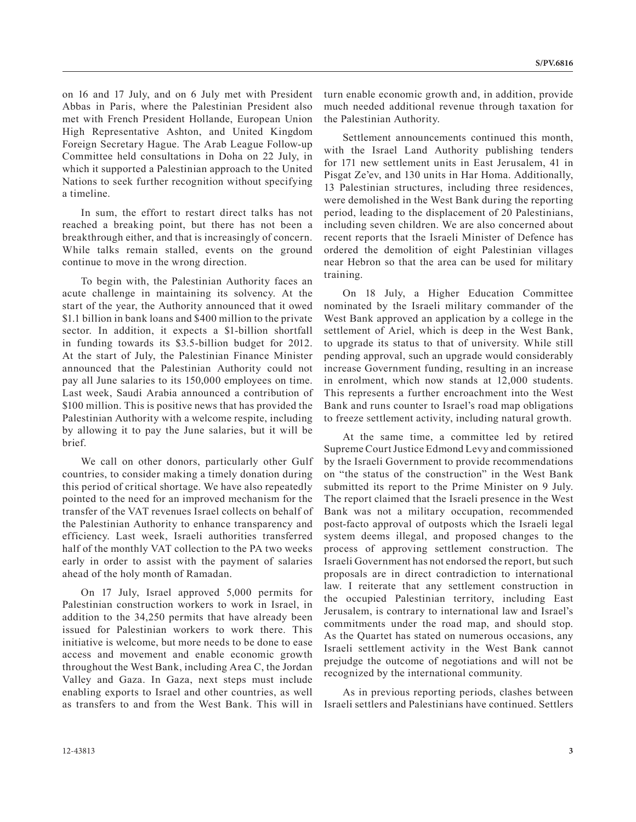on 16 and 17 July, and on 6 July met with President Abbas in Paris, where the Palestinian President also met with French President Hollande, European Union High Representative Ashton, and United Kingdom Foreign Secretary Hague. The Arab League Follow-up Committee held consultations in Doha on 22 July, in which it supported a Palestinian approach to the United Nations to seek further recognition without specifying a timeline.

In sum, the effort to restart direct talks has not reached a breaking point, but there has not been a breakthrough either, and that is increasingly of concern. While talks remain stalled, events on the ground continue to move in the wrong direction.

To begin with, the Palestinian Authority faces an acute challenge in maintaining its solvency. At the start of the year, the Authority announced that it owed \$1.1 billion in bank loans and \$400 million to the private sector. In addition, it expects a \$1-billion shortfall in funding towards its \$3.5-billion budget for 2012. At the start of July, the Palestinian Finance Minister announced that the Palestinian Authority could not pay all June salaries to its 150,000 employees on time. Last week, Saudi Arabia announced a contribution of \$100 million. This is positive news that has provided the Palestinian Authority with a welcome respite, including by allowing it to pay the June salaries, but it will be brief.

We call on other donors, particularly other Gulf countries, to consider making a timely donation during this period of critical shortage. We have also repeatedly pointed to the need for an improved mechanism for the transfer of the VAT revenues Israel collects on behalf of the Palestinian Authority to enhance transparency and efficiency. Last week, Israeli authorities transferred half of the monthly VAT collection to the PA two weeks early in order to assist with the payment of salaries ahead of the holy month of Ramadan.

On 17 July, Israel approved 5,000 permits for Palestinian construction workers to work in Israel, in addition to the 34,250 permits that have already been issued for Palestinian workers to work there. This initiative is welcome, but more needs to be done to ease access and movement and enable economic growth throughout the West Bank, including Area C, the Jordan Valley and Gaza. In Gaza, next steps must include enabling exports to Israel and other countries, as well as transfers to and from the West Bank. This will in

turn enable economic growth and, in addition, provide much needed additional revenue through taxation for the Palestinian Authority.

Settlement announcements continued this month, with the Israel Land Authority publishing tenders for 171 new settlement units in East Jerusalem, 41 in Pisgat Ze'ev, and 130 units in Har Homa. Additionally, 13 Palestinian structures, including three residences, were demolished in the West Bank during the reporting period, leading to the displacement of 20 Palestinians, including seven children. We are also concerned about recent reports that the Israeli Minister of Defence has ordered the demolition of eight Palestinian villages near Hebron so that the area can be used for military training.

On 18 July, a Higher Education Committee nominated by the Israeli military commander of the West Bank approved an application by a college in the settlement of Ariel, which is deep in the West Bank, to upgrade its status to that of university. While still pending approval, such an upgrade would considerably increase Government funding, resulting in an increase in enrolment, which now stands at 12,000 students. This represents a further encroachment into the West Bank and runs counter to Israel's road map obligations to freeze settlement activity, including natural growth.

At the same time, a committee led by retired Supreme Court Justice Edmond Levy and commissioned by the Israeli Government to provide recommendations on "the status of the construction" in the West Bank submitted its report to the Prime Minister on 9 July. The report claimed that the Israeli presence in the West Bank was not a military occupation, recommended post-facto approval of outposts which the Israeli legal system deems illegal, and proposed changes to the process of approving settlement construction. The Israeli Government has not endorsed the report, but such proposals are in direct contradiction to international law. I reiterate that any settlement construction in the occupied Palestinian territory, including East Jerusalem, is contrary to international law and Israel's commitments under the road map, and should stop. As the Quartet has stated on numerous occasions, any Israeli settlement activity in the West Bank cannot prejudge the outcome of negotiations and will not be recognized by the international community.

As in previous reporting periods, clashes between Israeli settlers and Palestinians have continued. Settlers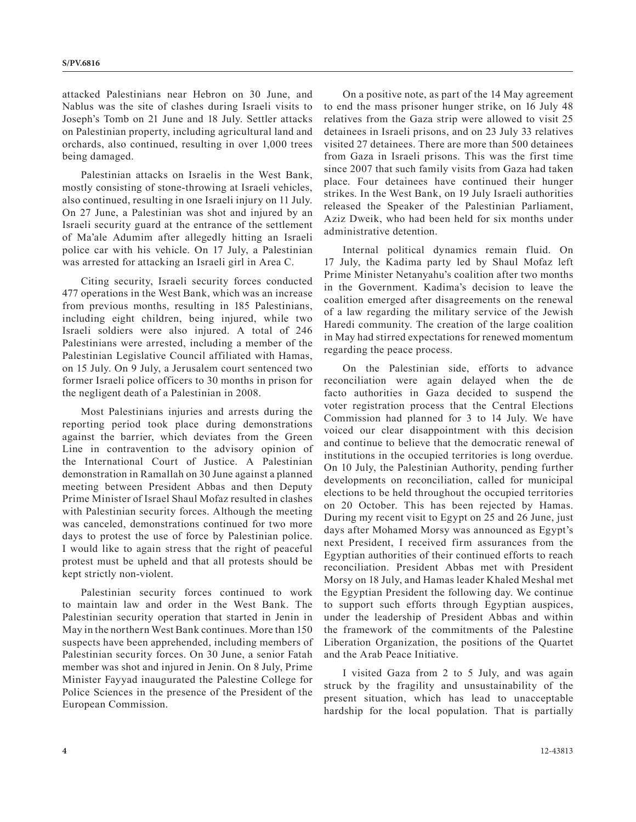attacked Palestinians near Hebron on 30 June, and Nablus was the site of clashes during Israeli visits to Joseph's Tomb on 21 June and 18 July. Settler attacks on Palestinian property, including agricultural land and orchards, also continued, resulting in over 1,000 trees being damaged.

Palestinian attacks on Israelis in the West Bank, mostly consisting of stone-throwing at Israeli vehicles, also continued, resulting in one Israeli injury on 11 July. On 27 June, a Palestinian was shot and injured by an Israeli security guard at the entrance of the settlement of Ma'ale Adumim after allegedly hitting an Israeli police car with his vehicle. On 17 July, a Palestinian was arrested for attacking an Israeli girl in Area C.

Citing security, Israeli security forces conducted 477 operations in the West Bank, which was an increase from previous months, resulting in 185 Palestinians, including eight children, being injured, while two Israeli soldiers were also injured. A total of 246 Palestinians were arrested, including a member of the Palestinian Legislative Council affiliated with Hamas, on 15 July. On 9 July, a Jerusalem court sentenced two former Israeli police officers to 30 months in prison for the negligent death of a Palestinian in 2008.

Most Palestinians injuries and arrests during the reporting period took place during demonstrations against the barrier, which deviates from the Green Line in contravention to the advisory opinion of the International Court of Justice. A Palestinian demonstration in Ramallah on 30 June against a planned meeting between President Abbas and then Deputy Prime Minister of Israel Shaul Mofaz resulted in clashes with Palestinian security forces. Although the meeting was canceled, demonstrations continued for two more days to protest the use of force by Palestinian police. I would like to again stress that the right of peaceful protest must be upheld and that all protests should be kept strictly non-violent.

Palestinian security forces continued to work to maintain law and order in the West Bank. The Palestinian security operation that started in Jenin in May in the northern West Bank continues. More than 150 suspects have been apprehended, including members of Palestinian security forces. On 30 June, a senior Fatah member was shot and injured in Jenin. On 8 July, Prime Minister Fayyad inaugurated the Palestine College for Police Sciences in the presence of the President of the European Commission.

On a positive note, as part of the 14 May agreement to end the mass prisoner hunger strike, on 16 July 48 relatives from the Gaza strip were allowed to visit 25 detainees in Israeli prisons, and on 23 July 33 relatives visited 27 detainees. There are more than 500 detainees from Gaza in Israeli prisons. This was the first time since 2007 that such family visits from Gaza had taken place. Four detainees have continued their hunger strikes. In the West Bank, on 19 July Israeli authorities released the Speaker of the Palestinian Parliament, Aziz Dweik, who had been held for six months under administrative detention.

Internal political dynamics remain fluid. On 17 July, the Kadima party led by Shaul Mofaz left Prime Minister Netanyahu's coalition after two months in the Government. Kadima's decision to leave the coalition emerged after disagreements on the renewal of a law regarding the military service of the Jewish Haredi community. The creation of the large coalition in May had stirred expectations for renewed momentum regarding the peace process.

On the Palestinian side, efforts to advance reconciliation were again delayed when the de facto authorities in Gaza decided to suspend the voter registration process that the Central Elections Commission had planned for 3 to 14 July. We have voiced our clear disappointment with this decision and continue to believe that the democratic renewal of institutions in the occupied territories is long overdue. On 10 July, the Palestinian Authority, pending further developments on reconciliation, called for municipal elections to be held throughout the occupied territories on 20 October. This has been rejected by Hamas. During my recent visit to Egypt on 25 and 26 June, just days after Mohamed Morsy was announced as Egypt's next President, I received firm assurances from the Egyptian authorities of their continued efforts to reach reconciliation. President Abbas met with President Morsy on 18 July, and Hamas leader Khaled Meshal met the Egyptian President the following day. We continue to support such efforts through Egyptian auspices, under the leadership of President Abbas and within the framework of the commitments of the Palestine Liberation Organization, the positions of the Quartet and the Arab Peace Initiative.

I visited Gaza from 2 to 5 July, and was again struck by the fragility and unsustainability of the present situation, which has lead to unacceptable hardship for the local population. That is partially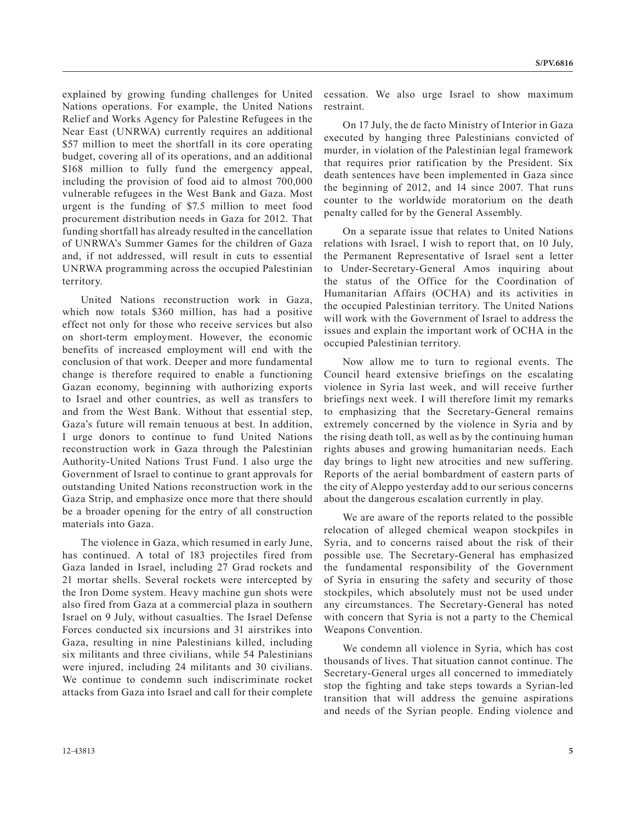explained by growing funding challenges for United Nations operations. For example, the United Nations Relief and Works Agency for Palestine Refugees in the Near East (UNRWA) currently requires an additional \$57 million to meet the shortfall in its core operating budget, covering all of its operations, and an additional \$168 million to fully fund the emergency appeal, including the provision of food aid to almost 700,000 vulnerable refugees in the West Bank and Gaza. Most urgent is the funding of \$7.5 million to meet food procurement distribution needs in Gaza for 2012. That funding shortfall has already resulted in the cancellation of UNRWA's Summer Games for the children of Gaza and, if not addressed, will result in cuts to essential UNRWA programming across the occupied Palestinian territory.

United Nations reconstruction work in Gaza, which now totals \$360 million, has had a positive effect not only for those who receive services but also on short-term employment. However, the economic benefits of increased employment will end with the conclusion of that work. Deeper and more fundamental change is therefore required to enable a functioning Gazan economy, beginning with authorizing exports to Israel and other countries, as well as transfers to and from the West Bank. Without that essential step, Gaza's future will remain tenuous at best. In addition, I urge donors to continue to fund United Nations reconstruction work in Gaza through the Palestinian Authority-United Nations Trust Fund. I also urge the Government of Israel to continue to grant approvals for outstanding United Nations reconstruction work in the Gaza Strip, and emphasize once more that there should be a broader opening for the entry of all construction materials into Gaza.

The violence in Gaza, which resumed in early June, has continued. A total of 183 projectiles fired from Gaza landed in Israel, including 27 Grad rockets and 21 mortar shells. Several rockets were intercepted by the Iron Dome system. Heavy machine gun shots were also fired from Gaza at a commercial plaza in southern Israel on 9 July, without casualties. The Israel Defense Forces conducted six incursions and 31 airstrikes into Gaza, resulting in nine Palestinians killed, including six militants and three civilians, while 54 Palestinians were injured, including 24 militants and 30 civilians. We continue to condemn such indiscriminate rocket attacks from Gaza into Israel and call for their complete cessation. We also urge Israel to show maximum restraint.

On 17 July, the de facto Ministry of Interior in Gaza executed by hanging three Palestinians convicted of murder, in violation of the Palestinian legal framework that requires prior ratification by the President. Six death sentences have been implemented in Gaza since the beginning of 2012, and 14 since 2007. That runs counter to the worldwide moratorium on the death penalty called for by the General Assembly.

On a separate issue that relates to United Nations relations with Israel, I wish to report that, on 10 July, the Permanent Representative of Israel sent a letter to Under-Secretary-General Amos inquiring about the status of the Office for the Coordination of Humanitarian Affairs (OCHA) and its activities in the occupied Palestinian territory. The United Nations will work with the Government of Israel to address the issues and explain the important work of OCHA in the occupied Palestinian territory.

Now allow me to turn to regional events. The Council heard extensive briefings on the escalating violence in Syria last week, and will receive further briefings next week. I will therefore limit my remarks to emphasizing that the Secretary-General remains extremely concerned by the violence in Syria and by the rising death toll, as well as by the continuing human rights abuses and growing humanitarian needs. Each day brings to light new atrocities and new suffering. Reports of the aerial bombardment of eastern parts of the city of Aleppo yesterday add to our serious concerns about the dangerous escalation currently in play.

We are aware of the reports related to the possible relocation of alleged chemical weapon stockpiles in Syria, and to concerns raised about the risk of their possible use. The Secretary-General has emphasized the fundamental responsibility of the Government of Syria in ensuring the safety and security of those stockpiles, which absolutely must not be used under any circumstances. The Secretary-General has noted with concern that Syria is not a party to the Chemical Weapons Convention.

We condemn all violence in Syria, which has cost thousands of lives. That situation cannot continue. The Secretary-General urges all concerned to immediately stop the fighting and take steps towards a Syrian-led transition that will address the genuine aspirations and needs of the Syrian people. Ending violence and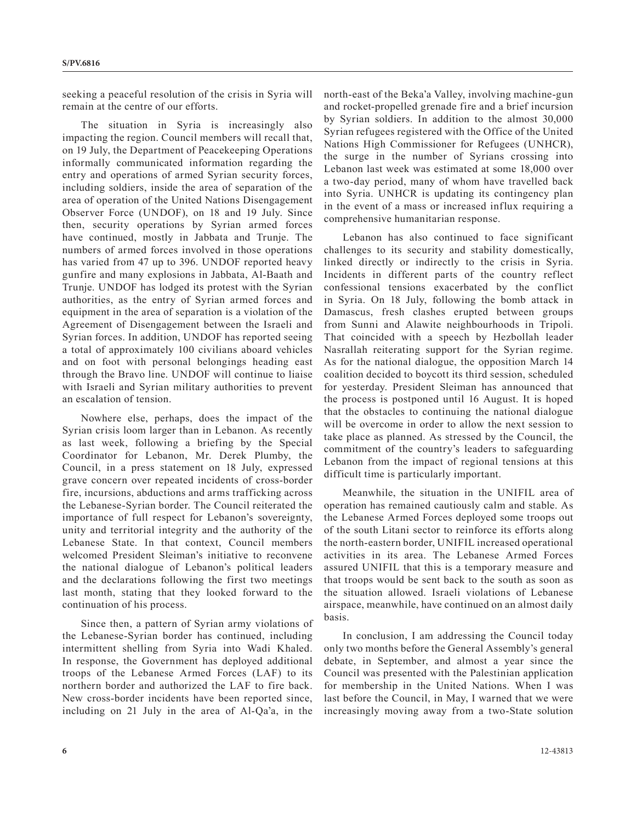seeking a peaceful resolution of the crisis in Syria will remain at the centre of our efforts.

The situation in Syria is increasingly also impacting the region. Council members will recall that, on 19 July, the Department of Peacekeeping Operations informally communicated information regarding the entry and operations of armed Syrian security forces, including soldiers, inside the area of separation of the area of operation of the United Nations Disengagement Observer Force (UNDOF), on 18 and 19 July. Since then, security operations by Syrian armed forces have continued, mostly in Jabbata and Trunje. The numbers of armed forces involved in those operations has varied from 47 up to 396. UNDOF reported heavy gunfire and many explosions in Jabbata, Al-Baath and Trunje. UNDOF has lodged its protest with the Syrian authorities, as the entry of Syrian armed forces and equipment in the area of separation is a violation of the Agreement of Disengagement between the Israeli and Syrian forces. In addition, UNDOF has reported seeing a total of approximately 100 civilians aboard vehicles and on foot with personal belongings heading east through the Bravo line. UNDOF will continue to liaise with Israeli and Syrian military authorities to prevent an escalation of tension.

Nowhere else, perhaps, does the impact of the Syrian crisis loom larger than in Lebanon. As recently as last week, following a briefing by the Special Coordinator for Lebanon, Mr. Derek Plumby, the Council, in a press statement on 18 July, expressed grave concern over repeated incidents of cross-border fire, incursions, abductions and arms trafficking across the Lebanese-Syrian border. The Council reiterated the importance of full respect for Lebanon's sovereignty, unity and territorial integrity and the authority of the Lebanese State. In that context, Council members welcomed President Sleiman's initiative to reconvene the national dialogue of Lebanon's political leaders and the declarations following the first two meetings last month, stating that they looked forward to the continuation of his process.

Since then, a pattern of Syrian army violations of the Lebanese-Syrian border has continued, including intermittent shelling from Syria into Wadi Khaled. In response, the Government has deployed additional troops of the Lebanese Armed Forces (LAF) to its northern border and authorized the LAF to fire back. New cross-border incidents have been reported since, including on 21 July in the area of Al-Qa'a, in the north-east of the Beka'a Valley, involving machine-gun and rocket-propelled grenade fire and a brief incursion by Syrian soldiers. In addition to the almost 30,000 Syrian refugees registered with the Office of the United Nations High Commissioner for Refugees (UNHCR), the surge in the number of Syrians crossing into Lebanon last week was estimated at some 18,000 over a two-day period, many of whom have travelled back into Syria. UNHCR is updating its contingency plan in the event of a mass or increased influx requiring a comprehensive humanitarian response.

Lebanon has also continued to face significant challenges to its security and stability domestically, linked directly or indirectly to the crisis in Syria. Incidents in different parts of the country reflect confessional tensions exacerbated by the conflict in Syria. On 18 July, following the bomb attack in Damascus, fresh clashes erupted between groups from Sunni and Alawite neighbourhoods in Tripoli. That coincided with a speech by Hezbollah leader Nasrallah reiterating support for the Syrian regime. As for the national dialogue, the opposition March 14 coalition decided to boycott its third session, scheduled for yesterday. President Sleiman has announced that the process is postponed until 16 August. It is hoped that the obstacles to continuing the national dialogue will be overcome in order to allow the next session to take place as planned. As stressed by the Council, the commitment of the country's leaders to safeguarding Lebanon from the impact of regional tensions at this difficult time is particularly important.

Meanwhile, the situation in the UNIFIL area of operation has remained cautiously calm and stable. As the Lebanese Armed Forces deployed some troops out of the south Litani sector to reinforce its efforts along the north-eastern border, UNIFIL increased operational activities in its area. The Lebanese Armed Forces assured UNIFIL that this is a temporary measure and that troops would be sent back to the south as soon as the situation allowed. Israeli violations of Lebanese airspace, meanwhile, have continued on an almost daily basis.

In conclusion, I am addressing the Council today only two months before the General Assembly's general debate, in September, and almost a year since the Council was presented with the Palestinian application for membership in the United Nations. When I was last before the Council, in May, I warned that we were increasingly moving away from a two-State solution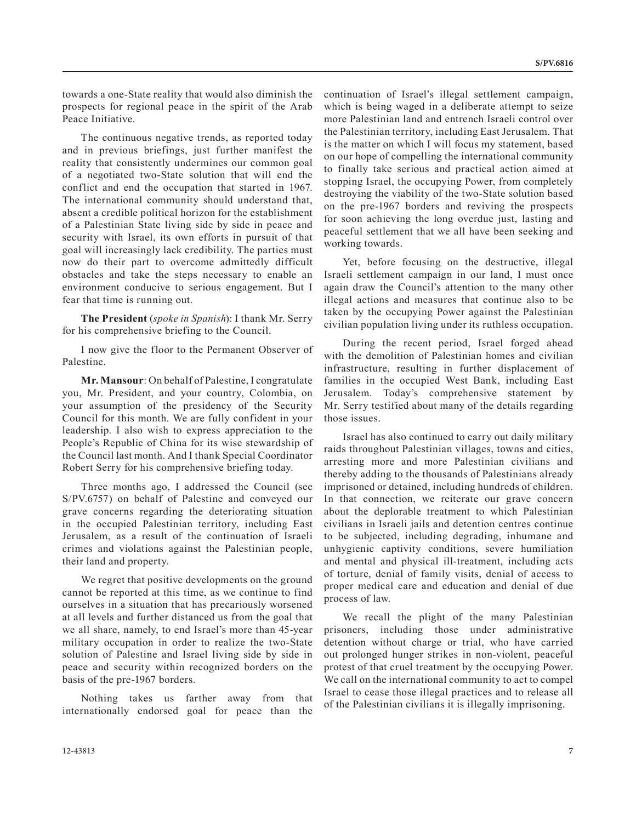towards a one-State reality that would also diminish the prospects for regional peace in the spirit of the Arab Peace Initiative.

The continuous negative trends, as reported today and in previous briefings, just further manifest the reality that consistently undermines our common goal of a negotiated two-State solution that will end the conflict and end the occupation that started in 1967. The international community should understand that, absent a credible political horizon for the establishment of a Palestinian State living side by side in peace and security with Israel, its own efforts in pursuit of that goal will increasingly lack credibility. The parties must now do their part to overcome admittedly difficult obstacles and take the steps necessary to enable an environment conducive to serious engagement. But I fear that time is running out.

**The President** (*spoke in Spanish*): I thank Mr. Serry for his comprehensive briefing to the Council.

I now give the floor to the Permanent Observer of Palestine.

**Mr. Mansour**: On behalf of Palestine, I congratulate you, Mr. President, and your country, Colombia, on your assumption of the presidency of the Security Council for this month. We are fully confident in your leadership. I also wish to express appreciation to the People's Republic of China for its wise stewardship of the Council last month. And I thank Special Coordinator Robert Serry for his comprehensive briefing today.

Three months ago, I addressed the Council (see S/PV.6757) on behalf of Palestine and conveyed our grave concerns regarding the deteriorating situation in the occupied Palestinian territory, including East Jerusalem, as a result of the continuation of Israeli crimes and violations against the Palestinian people, their land and property.

We regret that positive developments on the ground cannot be reported at this time, as we continue to find ourselves in a situation that has precariously worsened at all levels and further distanced us from the goal that we all share, namely, to end Israel's more than 45-year military occupation in order to realize the two-State solution of Palestine and Israel living side by side in peace and security within recognized borders on the basis of the pre-1967 borders.

Nothing takes us farther away from that internationally endorsed goal for peace than the continuation of Israel's illegal settlement campaign, which is being waged in a deliberate attempt to seize more Palestinian land and entrench Israeli control over the Palestinian territory, including East Jerusalem. That is the matter on which I will focus my statement, based on our hope of compelling the international community to finally take serious and practical action aimed at stopping Israel, the occupying Power, from completely destroying the viability of the two-State solution based on the pre-1967 borders and reviving the prospects for soon achieving the long overdue just, lasting and peaceful settlement that we all have been seeking and working towards.

Yet, before focusing on the destructive, illegal Israeli settlement campaign in our land, I must once again draw the Council's attention to the many other illegal actions and measures that continue also to be taken by the occupying Power against the Palestinian civilian population living under its ruthless occupation.

During the recent period, Israel forged ahead with the demolition of Palestinian homes and civilian infrastructure, resulting in further displacement of families in the occupied West Bank, including East Jerusalem. Today's comprehensive statement by Mr. Serry testified about many of the details regarding those issues.

Israel has also continued to carry out daily military raids throughout Palestinian villages, towns and cities, arresting more and more Palestinian civilians and thereby adding to the thousands of Palestinians already imprisoned or detained, including hundreds of children. In that connection, we reiterate our grave concern about the deplorable treatment to which Palestinian civilians in Israeli jails and detention centres continue to be subjected, including degrading, inhumane and unhygienic captivity conditions, severe humiliation and mental and physical ill-treatment, including acts of torture, denial of family visits, denial of access to proper medical care and education and denial of due process of law.

We recall the plight of the many Palestinian prisoners, including those under administrative detention without charge or trial, who have carried out prolonged hunger strikes in non-violent, peaceful protest of that cruel treatment by the occupying Power. We call on the international community to act to compel Israel to cease those illegal practices and to release all of the Palestinian civilians it is illegally imprisoning.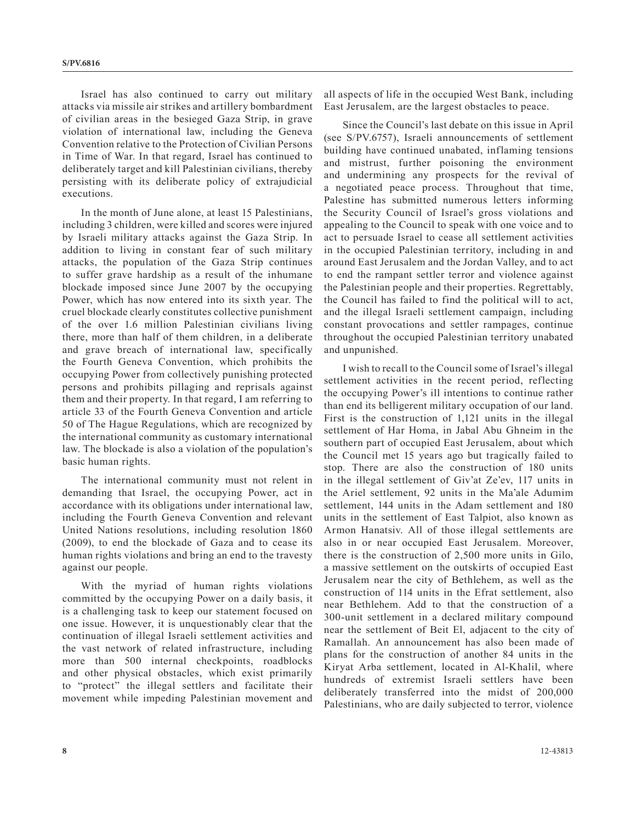Israel has also continued to carry out military attacks via missile air strikes and artillery bombardment of civilian areas in the besieged Gaza Strip, in grave violation of international law, including the Geneva Convention relative to the Protection of Civilian Persons in Time of War. In that regard, Israel has continued to deliberately target and kill Palestinian civilians, thereby persisting with its deliberate policy of extrajudicial executions.

In the month of June alone, at least 15 Palestinians, including 3 children, were killed and scores were injured by Israeli military attacks against the Gaza Strip. In addition to living in constant fear of such military attacks, the population of the Gaza Strip continues to suffer grave hardship as a result of the inhumane blockade imposed since June 2007 by the occupying Power, which has now entered into its sixth year. The cruel blockade clearly constitutes collective punishment of the over 1.6 million Palestinian civilians living there, more than half of them children, in a deliberate and grave breach of international law, specifically the Fourth Geneva Convention, which prohibits the occupying Power from collectively punishing protected persons and prohibits pillaging and reprisals against them and their property. In that regard, I am referring to article 33 of the Fourth Geneva Convention and article 50 of The Hague Regulations, which are recognized by the international community as customary international law. The blockade is also a violation of the population's basic human rights.

The international community must not relent in demanding that Israel, the occupying Power, act in accordance with its obligations under international law, including the Fourth Geneva Convention and relevant United Nations resolutions, including resolution 1860 (2009), to end the blockade of Gaza and to cease its human rights violations and bring an end to the travesty against our people.

With the myriad of human rights violations committed by the occupying Power on a daily basis, it is a challenging task to keep our statement focused on one issue. However, it is unquestionably clear that the continuation of illegal Israeli settlement activities and the vast network of related infrastructure, including more than 500 internal checkpoints, roadblocks and other physical obstacles, which exist primarily to "protect" the illegal settlers and facilitate their movement while impeding Palestinian movement and

all aspects of life in the occupied West Bank, including East Jerusalem, are the largest obstacles to peace.

Since the Council's last debate on this issue in April (see S/PV.6757), Israeli announcements of settlement building have continued unabated, inflaming tensions and mistrust, further poisoning the environment and undermining any prospects for the revival of a negotiated peace process. Throughout that time, Palestine has submitted numerous letters informing the Security Council of Israel's gross violations and appealing to the Council to speak with one voice and to act to persuade Israel to cease all settlement activities in the occupied Palestinian territory, including in and around East Jerusalem and the Jordan Valley, and to act to end the rampant settler terror and violence against the Palestinian people and their properties. Regrettably, the Council has failed to find the political will to act, and the illegal Israeli settlement campaign, including constant provocations and settler rampages, continue throughout the occupied Palestinian territory unabated and unpunished.

I wish to recall to the Council some of Israel's illegal settlement activities in the recent period, reflecting the occupying Power's ill intentions to continue rather than end its belligerent military occupation of our land. First is the construction of 1,121 units in the illegal settlement of Har Homa, in Jabal Abu Ghneim in the southern part of occupied East Jerusalem, about which the Council met 15 years ago but tragically failed to stop. There are also the construction of 180 units in the illegal settlement of Giv'at Ze'ev, 117 units in the Ariel settlement, 92 units in the Ma'ale Adumim settlement, 144 units in the Adam settlement and 180 units in the settlement of East Talpiot, also known as Armon Hanatsiv. All of those illegal settlements are also in or near occupied East Jerusalem. Moreover, there is the construction of 2,500 more units in Gilo, a massive settlement on the outskirts of occupied East Jerusalem near the city of Bethlehem, as well as the construction of 114 units in the Efrat settlement, also near Bethlehem. Add to that the construction of a 300-unit settlement in a declared military compound near the settlement of Beit El, adjacent to the city of Ramallah. An announcement has also been made of plans for the construction of another 84 units in the Kiryat Arba settlement, located in Al-Khalil, where hundreds of extremist Israeli settlers have been deliberately transferred into the midst of 200,000 Palestinians, who are daily subjected to terror, violence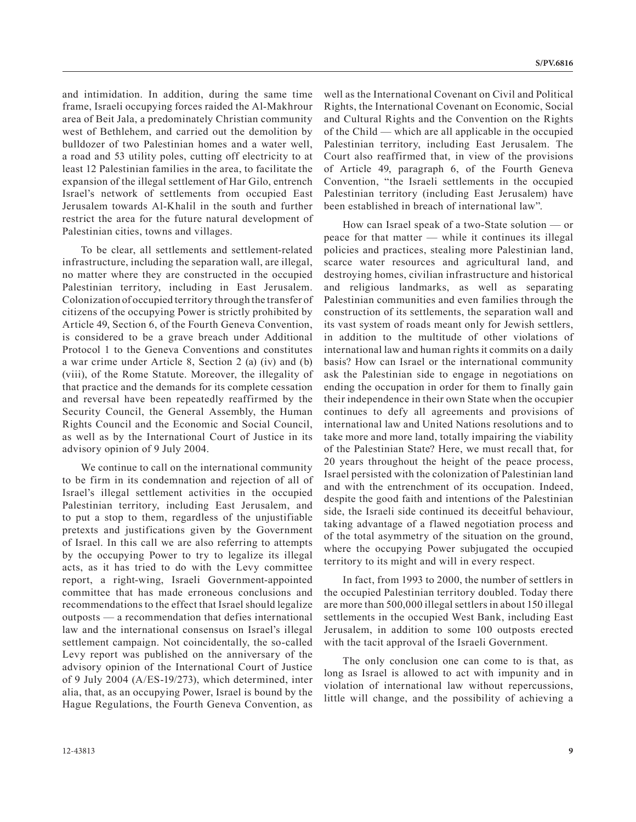and intimidation. In addition, during the same time frame, Israeli occupying forces raided the Al-Makhrour area of Beit Jala, a predominately Christian community west of Bethlehem, and carried out the demolition by bulldozer of two Palestinian homes and a water well, a road and 53 utility poles, cutting off electricity to at least 12 Palestinian families in the area, to facilitate the expansion of the illegal settlement of Har Gilo, entrench Israel's network of settlements from occupied East Jerusalem towards Al-Khalil in the south and further restrict the area for the future natural development of Palestinian cities, towns and villages.

To be clear, all settlements and settlement-related infrastructure, including the separation wall, are illegal, no matter where they are constructed in the occupied Palestinian territory, including in East Jerusalem. Colonization of occupied territory through the transfer of citizens of the occupying Power is strictly prohibited by Article 49, Section 6, of the Fourth Geneva Convention, is considered to be a grave breach under Additional Protocol 1 to the Geneva Conventions and constitutes a war crime under Article 8, Section 2 (a) (iv) and (b) (viii), of the Rome Statute. Moreover, the illegality of that practice and the demands for its complete cessation and reversal have been repeatedly reaffirmed by the Security Council, the General Assembly, the Human Rights Council and the Economic and Social Council, as well as by the International Court of Justice in its advisory opinion of 9 July 2004.

We continue to call on the international community to be firm in its condemnation and rejection of all of Israel's illegal settlement activities in the occupied Palestinian territory, including East Jerusalem, and to put a stop to them, regardless of the unjustifiable pretexts and justifications given by the Government of Israel. In this call we are also referring to attempts by the occupying Power to try to legalize its illegal acts, as it has tried to do with the Levy committee report, a right-wing, Israeli Government-appointed committee that has made erroneous conclusions and recommendations to the effect that Israel should legalize outposts — a recommendation that defies international law and the international consensus on Israel's illegal settlement campaign. Not coincidentally, the so-called Levy report was published on the anniversary of the advisory opinion of the International Court of Justice of 9 July 2004 (A/ES-19/273), which determined, inter alia, that, as an occupying Power, Israel is bound by the Hague Regulations, the Fourth Geneva Convention, as

well as the International Covenant on Civil and Political Rights, the International Covenant on Economic, Social and Cultural Rights and the Convention on the Rights of the Child — which are all applicable in the occupied Palestinian territory, including East Jerusalem. The Court also reaffirmed that, in view of the provisions of Article 49, paragraph 6, of the Fourth Geneva Convention, "the Israeli settlements in the occupied Palestinian territory (including East Jerusalem) have been established in breach of international law".

How can Israel speak of a two-State solution — or peace for that matter — while it continues its illegal policies and practices, stealing more Palestinian land, scarce water resources and agricultural land, and destroying homes, civilian infrastructure and historical and religious landmarks, as well as separating Palestinian communities and even families through the construction of its settlements, the separation wall and its vast system of roads meant only for Jewish settlers, in addition to the multitude of other violations of international law and human rights it commits on a daily basis? How can Israel or the international community ask the Palestinian side to engage in negotiations on ending the occupation in order for them to finally gain their independence in their own State when the occupier continues to defy all agreements and provisions of international law and United Nations resolutions and to take more and more land, totally impairing the viability of the Palestinian State? Here, we must recall that, for 20 years throughout the height of the peace process, Israel persisted with the colonization of Palestinian land and with the entrenchment of its occupation. Indeed, despite the good faith and intentions of the Palestinian side, the Israeli side continued its deceitful behaviour, taking advantage of a flawed negotiation process and of the total asymmetry of the situation on the ground, where the occupying Power subjugated the occupied territory to its might and will in every respect.

In fact, from 1993 to 2000, the number of settlers in the occupied Palestinian territory doubled. Today there are more than 500,000 illegal settlers in about 150 illegal settlements in the occupied West Bank, including East Jerusalem, in addition to some 100 outposts erected with the tacit approval of the Israeli Government.

The only conclusion one can come to is that, as long as Israel is allowed to act with impunity and in violation of international law without repercussions, little will change, and the possibility of achieving a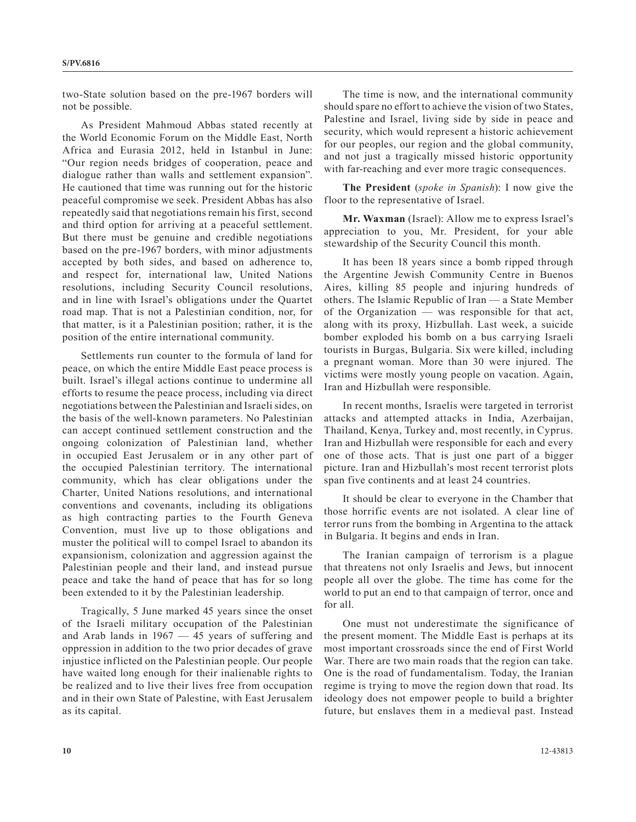two-State solution based on the pre-1967 borders will not be possible.

As President Mahmoud Abbas stated recently at the World Economic Forum on the Middle East, North Africa and Eurasia 2012, held in Istanbul in June: "Our region needs bridges of cooperation, peace and dialogue rather than walls and settlement expansion". He cautioned that time was running out for the historic peaceful compromise we seek. President Abbas has also repeatedly said that negotiations remain his first, second and third option for arriving at a peaceful settlement. But there must be genuine and credible negotiations based on the pre-1967 borders, with minor adjustments accepted by both sides, and based on adherence to, and respect for, international law, United Nations resolutions, including Security Council resolutions, and in line with Israel's obligations under the Quartet road map. That is not a Palestinian condition, nor, for that matter, is it a Palestinian position; rather, it is the position of the entire international community.

Settlements run counter to the formula of land for peace, on which the entire Middle East peace process is built. Israel's illegal actions continue to undermine all efforts to resume the peace process, including via direct negotiations between the Palestinian and Israeli sides, on the basis of the well-known parameters. No Palestinian can accept continued settlement construction and the ongoing colonization of Palestinian land, whether in occupied East Jerusalem or in any other part of the occupied Palestinian territory. The international community, which has clear obligations under the Charter, United Nations resolutions, and international conventions and covenants, including its obligations as high contracting parties to the Fourth Geneva Convention, must live up to those obligations and muster the political will to compel Israel to abandon its expansionism, colonization and aggression against the Palestinian people and their land, and instead pursue peace and take the hand of peace that has for so long been extended to it by the Palestinian leadership.

Tragically, 5 June marked 45 years since the onset of the Israeli military occupation of the Palestinian and Arab lands in 1967 — 45 years of suffering and oppression in addition to the two prior decades of grave injustice inflicted on the Palestinian people. Our people have waited long enough for their inalienable rights to be realized and to live their lives free from occupation and in their own State of Palestine, with East Jerusalem as its capital.

The time is now, and the international community should spare no effort to achieve the vision of two States, Palestine and Israel, living side by side in peace and security, which would represent a historic achievement for our peoples, our region and the global community, and not just a tragically missed historic opportunity with far-reaching and ever more tragic consequences.

**The President** (*spoke in Spanish*): I now give the floor to the representative of Israel.

**Mr. Waxman** (Israel): Allow me to express Israel's appreciation to you, Mr. President, for your able stewardship of the Security Council this month.

It has been 18 years since a bomb ripped through the Argentine Jewish Community Centre in Buenos Aires, killing 85 people and injuring hundreds of others. The Islamic Republic of Iran — a State Member of the Organization — was responsible for that act, along with its proxy, Hizbullah. Last week, a suicide bomber exploded his bomb on a bus carrying Israeli tourists in Burgas, Bulgaria. Six were killed, including a pregnant woman. More than 30 were injured. The victims were mostly young people on vacation. Again, Iran and Hizbullah were responsible.

In recent months, Israelis were targeted in terrorist attacks and attempted attacks in India, Azerbaijan, Thailand, Kenya, Turkey and, most recently, in Cyprus. Iran and Hizbullah were responsible for each and every one of those acts. That is just one part of a bigger picture. Iran and Hizbullah's most recent terrorist plots span five continents and at least 24 countries.

It should be clear to everyone in the Chamber that those horrific events are not isolated. A clear line of terror runs from the bombing in Argentina to the attack in Bulgaria. It begins and ends in Iran.

The Iranian campaign of terrorism is a plague that threatens not only Israelis and Jews, but innocent people all over the globe. The time has come for the world to put an end to that campaign of terror, once and for all.

One must not underestimate the significance of the present moment. The Middle East is perhaps at its most important crossroads since the end of First World War. There are two main roads that the region can take. One is the road of fundamentalism. Today, the Iranian regime is trying to move the region down that road. Its ideology does not empower people to build a brighter future, but enslaves them in a medieval past. Instead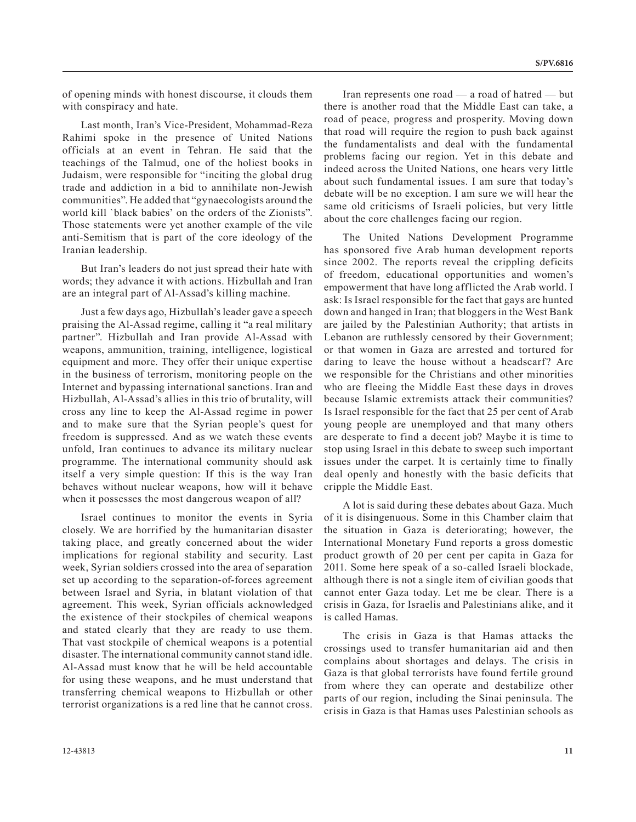of opening minds with honest discourse, it clouds them with conspiracy and hate.

Last month, Iran's Vice-President, Mohammad-Reza Rahimi spoke in the presence of United Nations officials at an event in Tehran. He said that the teachings of the Talmud, one of the holiest books in Judaism, were responsible for "inciting the global drug trade and addiction in a bid to annihilate non-Jewish communities". He added that "gynaecologists around the world kill `black babies' on the orders of the Zionists". Those statements were yet another example of the vile anti-Semitism that is part of the core ideology of the Iranian leadership.

But Iran's leaders do not just spread their hate with words; they advance it with actions. Hizbullah and Iran are an integral part of Al-Assad's killing machine.

Just a few days ago, Hizbullah's leader gave a speech praising the Al-Assad regime, calling it "a real military partner". Hizbullah and Iran provide Al-Assad with weapons, ammunition, training, intelligence, logistical equipment and more. They offer their unique expertise in the business of terrorism, monitoring people on the Internet and bypassing international sanctions. Iran and Hizbullah, Al-Assad's allies in this trio of brutality, will cross any line to keep the Al-Assad regime in power and to make sure that the Syrian people's quest for freedom is suppressed. And as we watch these events unfold, Iran continues to advance its military nuclear programme. The international community should ask itself a very simple question: If this is the way Iran behaves without nuclear weapons, how will it behave when it possesses the most dangerous weapon of all?

Israel continues to monitor the events in Syria closely. We are horrified by the humanitarian disaster taking place, and greatly concerned about the wider implications for regional stability and security. Last week, Syrian soldiers crossed into the area of separation set up according to the separation-of-forces agreement between Israel and Syria, in blatant violation of that agreement. This week, Syrian officials acknowledged the existence of their stockpiles of chemical weapons and stated clearly that they are ready to use them. That vast stockpile of chemical weapons is a potential disaster. The international community cannot stand idle. Al-Assad must know that he will be held accountable for using these weapons, and he must understand that transferring chemical weapons to Hizbullah or other terrorist organizations is a red line that he cannot cross.

Iran represents one road — a road of hatred — but there is another road that the Middle East can take, a road of peace, progress and prosperity. Moving down that road will require the region to push back against the fundamentalists and deal with the fundamental problems facing our region. Yet in this debate and indeed across the United Nations, one hears very little about such fundamental issues. I am sure that today's debate will be no exception. I am sure we will hear the same old criticisms of Israeli policies, but very little about the core challenges facing our region.

The United Nations Development Programme has sponsored five Arab human development reports since 2002. The reports reveal the crippling deficits of freedom, educational opportunities and women's empowerment that have long afflicted the Arab world. I ask: Is Israel responsible for the fact that gays are hunted down and hanged in Iran; that bloggers in the West Bank are jailed by the Palestinian Authority; that artists in Lebanon are ruthlessly censored by their Government; or that women in Gaza are arrested and tortured for daring to leave the house without a headscarf? Are we responsible for the Christians and other minorities who are fleeing the Middle East these days in droves because Islamic extremists attack their communities? Is Israel responsible for the fact that 25 per cent of Arab young people are unemployed and that many others are desperate to find a decent job? Maybe it is time to stop using Israel in this debate to sweep such important issues under the carpet. It is certainly time to finally deal openly and honestly with the basic deficits that cripple the Middle East.

A lot is said during these debates about Gaza. Much of it is disingenuous. Some in this Chamber claim that the situation in Gaza is deteriorating; however, the International Monetary Fund reports a gross domestic product growth of 20 per cent per capita in Gaza for 2011. Some here speak of a so-called Israeli blockade, although there is not a single item of civilian goods that cannot enter Gaza today. Let me be clear. There is a crisis in Gaza, for Israelis and Palestinians alike, and it is called Hamas.

The crisis in Gaza is that Hamas attacks the crossings used to transfer humanitarian aid and then complains about shortages and delays. The crisis in Gaza is that global terrorists have found fertile ground from where they can operate and destabilize other parts of our region, including the Sinai peninsula. The crisis in Gaza is that Hamas uses Palestinian schools as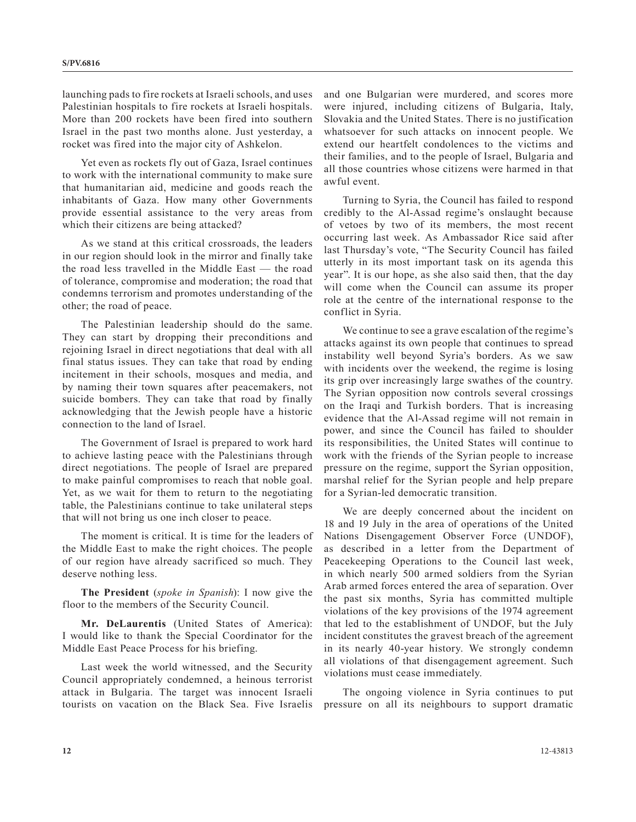launching pads to fire rockets at Israeli schools, and uses Palestinian hospitals to fire rockets at Israeli hospitals. More than 200 rockets have been fired into southern Israel in the past two months alone. Just yesterday, a rocket was fired into the major city of Ashkelon.

Yet even as rockets fly out of Gaza, Israel continues to work with the international community to make sure that humanitarian aid, medicine and goods reach the inhabitants of Gaza. How many other Governments provide essential assistance to the very areas from which their citizens are being attacked?

As we stand at this critical crossroads, the leaders in our region should look in the mirror and finally take the road less travelled in the Middle East — the road of tolerance, compromise and moderation; the road that condemns terrorism and promotes understanding of the other; the road of peace.

The Palestinian leadership should do the same. They can start by dropping their preconditions and rejoining Israel in direct negotiations that deal with all final status issues. They can take that road by ending incitement in their schools, mosques and media, and by naming their town squares after peacemakers, not suicide bombers. They can take that road by finally acknowledging that the Jewish people have a historic connection to the land of Israel.

The Government of Israel is prepared to work hard to achieve lasting peace with the Palestinians through direct negotiations. The people of Israel are prepared to make painful compromises to reach that noble goal. Yet, as we wait for them to return to the negotiating table, the Palestinians continue to take unilateral steps that will not bring us one inch closer to peace.

The moment is critical. It is time for the leaders of the Middle East to make the right choices. The people of our region have already sacrificed so much. They deserve nothing less.

**The President** (*spoke in Spanish*): I now give the floor to the members of the Security Council.

**Mr. DeLaurentis** (United States of America): I would like to thank the Special Coordinator for the Middle East Peace Process for his briefing.

Last week the world witnessed, and the Security Council appropriately condemned, a heinous terrorist attack in Bulgaria. The target was innocent Israeli tourists on vacation on the Black Sea. Five Israelis and one Bulgarian were murdered, and scores more were injured, including citizens of Bulgaria, Italy, Slovakia and the United States. There is no justification whatsoever for such attacks on innocent people. We extend our heartfelt condolences to the victims and their families, and to the people of Israel, Bulgaria and all those countries whose citizens were harmed in that awful event.

Turning to Syria, the Council has failed to respond credibly to the Al-Assad regime's onslaught because of vetoes by two of its members, the most recent occurring last week. As Ambassador Rice said after last Thursday's vote, "The Security Council has failed utterly in its most important task on its agenda this year". It is our hope, as she also said then, that the day will come when the Council can assume its proper role at the centre of the international response to the conflict in Syria.

We continue to see a grave escalation of the regime's attacks against its own people that continues to spread instability well beyond Syria's borders. As we saw with incidents over the weekend, the regime is losing its grip over increasingly large swathes of the country. The Syrian opposition now controls several crossings on the Iraqi and Turkish borders. That is increasing evidence that the Al-Assad regime will not remain in power, and since the Council has failed to shoulder its responsibilities, the United States will continue to work with the friends of the Syrian people to increase pressure on the regime, support the Syrian opposition, marshal relief for the Syrian people and help prepare for a Syrian-led democratic transition.

We are deeply concerned about the incident on 18 and 19 July in the area of operations of the United Nations Disengagement Observer Force (UNDOF), as described in a letter from the Department of Peacekeeping Operations to the Council last week, in which nearly 500 armed soldiers from the Syrian Arab armed forces entered the area of separation. Over the past six months, Syria has committed multiple violations of the key provisions of the 1974 agreement that led to the establishment of UNDOF, but the July incident constitutes the gravest breach of the agreement in its nearly 40-year history. We strongly condemn all violations of that disengagement agreement. Such violations must cease immediately.

The ongoing violence in Syria continues to put pressure on all its neighbours to support dramatic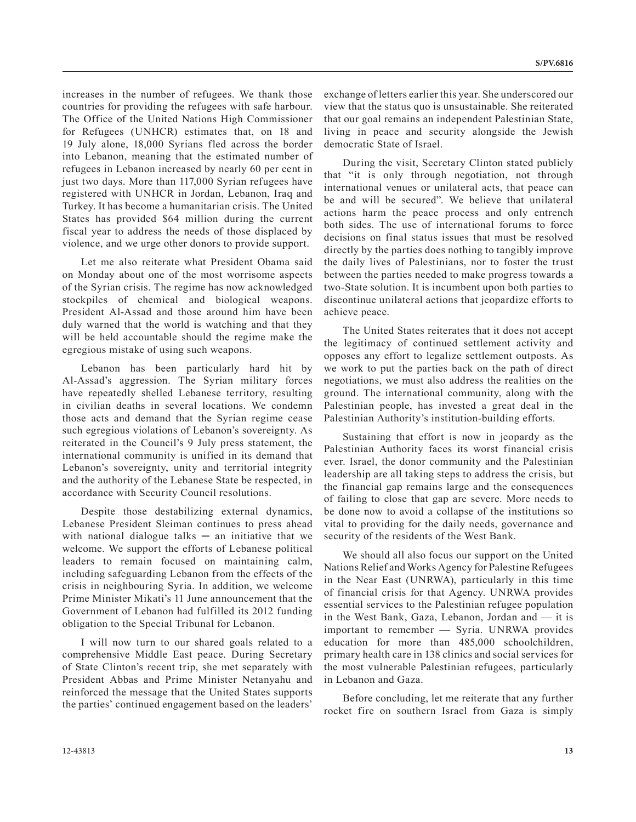increases in the number of refugees. We thank those countries for providing the refugees with safe harbour. The Office of the United Nations High Commissioner for Refugees (UNHCR) estimates that, on 18 and 19 July alone, 18,000 Syrians fled across the border into Lebanon, meaning that the estimated number of refugees in Lebanon increased by nearly 60 per cent in just two days. More than 117,000 Syrian refugees have registered with UNHCR in Jordan, Lebanon, Iraq and Turkey. It has become a humanitarian crisis. The United States has provided \$64 million during the current fiscal year to address the needs of those displaced by violence, and we urge other donors to provide support.

Let me also reiterate what President Obama said on Monday about one of the most worrisome aspects of the Syrian crisis. The regime has now acknowledged stockpiles of chemical and biological weapons. President Al-Assad and those around him have been duly warned that the world is watching and that they will be held accountable should the regime make the egregious mistake of using such weapons.

Lebanon has been particularly hard hit by Al-Assad's aggression. The Syrian military forces have repeatedly shelled Lebanese territory, resulting in civilian deaths in several locations. We condemn those acts and demand that the Syrian regime cease such egregious violations of Lebanon's sovereignty. As reiterated in the Council's 9 July press statement, the international community is unified in its demand that Lebanon's sovereignty, unity and territorial integrity and the authority of the Lebanese State be respected, in accordance with Security Council resolutions.

Despite those destabilizing external dynamics, Lebanese President Sleiman continues to press ahead with national dialogue talks  $-$  an initiative that we welcome. We support the efforts of Lebanese political leaders to remain focused on maintaining calm, including safeguarding Lebanon from the effects of the crisis in neighbouring Syria. In addition, we welcome Prime Minister Mikati's 11 June announcement that the Government of Lebanon had fulfilled its 2012 funding obligation to the Special Tribunal for Lebanon.

I will now turn to our shared goals related to a comprehensive Middle East peace. During Secretary of State Clinton's recent trip, she met separately with President Abbas and Prime Minister Netanyahu and reinforced the message that the United States supports the parties' continued engagement based on the leaders'

exchange of letters earlier this year. She underscored our view that the status quo is unsustainable. She reiterated that our goal remains an independent Palestinian State, living in peace and security alongside the Jewish democratic State of Israel.

During the visit, Secretary Clinton stated publicly that "it is only through negotiation, not through international venues or unilateral acts, that peace can be and will be secured". We believe that unilateral actions harm the peace process and only entrench both sides. The use of international forums to force decisions on final status issues that must be resolved directly by the parties does nothing to tangibly improve the daily lives of Palestinians, nor to foster the trust between the parties needed to make progress towards a two-State solution. It is incumbent upon both parties to discontinue unilateral actions that jeopardize efforts to achieve peace.

The United States reiterates that it does not accept the legitimacy of continued settlement activity and opposes any effort to legalize settlement outposts. As we work to put the parties back on the path of direct negotiations, we must also address the realities on the ground. The international community, along with the Palestinian people, has invested a great deal in the Palestinian Authority's institution-building efforts.

Sustaining that effort is now in jeopardy as the Palestinian Authority faces its worst financial crisis ever. Israel, the donor community and the Palestinian leadership are all taking steps to address the crisis, but the financial gap remains large and the consequences of failing to close that gap are severe. More needs to be done now to avoid a collapse of the institutions so vital to providing for the daily needs, governance and security of the residents of the West Bank.

We should all also focus our support on the United Nations Relief and Works Agency for Palestine Refugees in the Near East (UNRWA), particularly in this time of financial crisis for that Agency. UNRWA provides essential services to the Palestinian refugee population in the West Bank, Gaza, Lebanon, Jordan and — it is important to remember — Syria. UNRWA provides education for more than 485,000 schoolchildren, primary health care in 138 clinics and social services for the most vulnerable Palestinian refugees, particularly in Lebanon and Gaza.

Before concluding, let me reiterate that any further rocket fire on southern Israel from Gaza is simply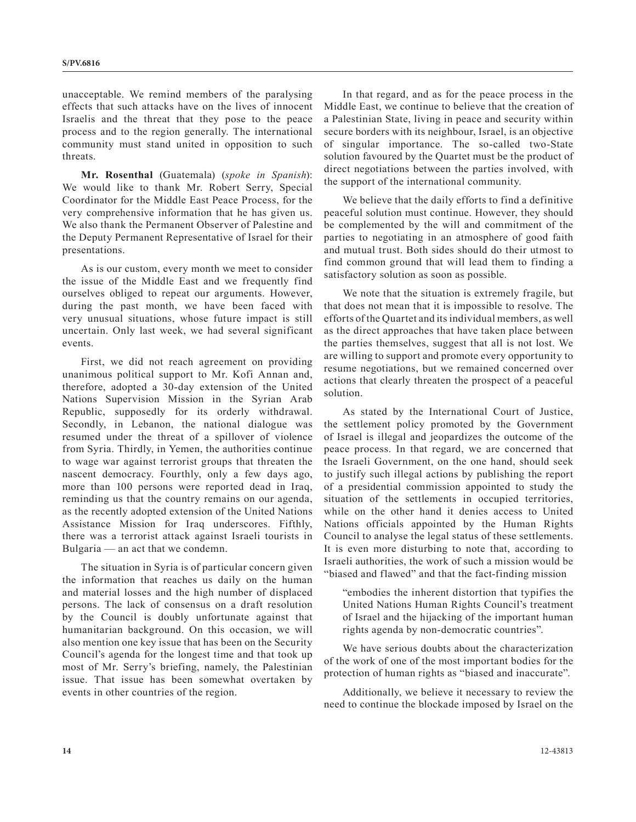unacceptable. We remind members of the paralysing effects that such attacks have on the lives of innocent Israelis and the threat that they pose to the peace process and to the region generally. The international community must stand united in opposition to such threats.

**Mr. Rosenthal** (Guatemala) (*spoke in Spanish*): We would like to thank Mr. Robert Serry, Special Coordinator for the Middle East Peace Process, for the very comprehensive information that he has given us. We also thank the Permanent Observer of Palestine and the Deputy Permanent Representative of Israel for their presentations.

As is our custom, every month we meet to consider the issue of the Middle East and we frequently find ourselves obliged to repeat our arguments. However, during the past month, we have been faced with very unusual situations, whose future impact is still uncertain. Only last week, we had several significant events.

First, we did not reach agreement on providing unanimous political support to Mr. Kofi Annan and, therefore, adopted a 30-day extension of the United Nations Supervision Mission in the Syrian Arab Republic, supposedly for its orderly withdrawal. Secondly, in Lebanon, the national dialogue was resumed under the threat of a spillover of violence from Syria. Thirdly, in Yemen, the authorities continue to wage war against terrorist groups that threaten the nascent democracy. Fourthly, only a few days ago, more than 100 persons were reported dead in Iraq, reminding us that the country remains on our agenda, as the recently adopted extension of the United Nations Assistance Mission for Iraq underscores. Fifthly, there was a terrorist attack against Israeli tourists in Bulgaria — an act that we condemn.

The situation in Syria is of particular concern given the information that reaches us daily on the human and material losses and the high number of displaced persons. The lack of consensus on a draft resolution by the Council is doubly unfortunate against that humanitarian background. On this occasion, we will also mention one key issue that has been on the Security Council's agenda for the longest time and that took up most of Mr. Serry's briefing, namely, the Palestinian issue. That issue has been somewhat overtaken by events in other countries of the region.

In that regard, and as for the peace process in the Middle East, we continue to believe that the creation of a Palestinian State, living in peace and security within secure borders with its neighbour, Israel, is an objective of singular importance. The so-called two-State solution favoured by the Quartet must be the product of direct negotiations between the parties involved, with the support of the international community.

We believe that the daily efforts to find a definitive peaceful solution must continue. However, they should be complemented by the will and commitment of the parties to negotiating in an atmosphere of good faith and mutual trust. Both sides should do their utmost to find common ground that will lead them to finding a satisfactory solution as soon as possible.

We note that the situation is extremely fragile, but that does not mean that it is impossible to resolve. The efforts of the Quartet and its individual members, as well as the direct approaches that have taken place between the parties themselves, suggest that all is not lost. We are willing to support and promote every opportunity to resume negotiations, but we remained concerned over actions that clearly threaten the prospect of a peaceful solution.

As stated by the International Court of Justice, the settlement policy promoted by the Government of Israel is illegal and jeopardizes the outcome of the peace process. In that regard, we are concerned that the Israeli Government, on the one hand, should seek to justify such illegal actions by publishing the report of a presidential commission appointed to study the situation of the settlements in occupied territories. while on the other hand it denies access to United Nations officials appointed by the Human Rights Council to analyse the legal status of these settlements. It is even more disturbing to note that, according to Israeli authorities, the work of such a mission would be "biased and flawed" and that the fact-finding mission

"embodies the inherent distortion that typifies the United Nations Human Rights Council's treatment of Israel and the hijacking of the important human rights agenda by non-democratic countries".

We have serious doubts about the characterization of the work of one of the most important bodies for the protection of human rights as "biased and inaccurate".

Additionally, we believe it necessary to review the need to continue the blockade imposed by Israel on the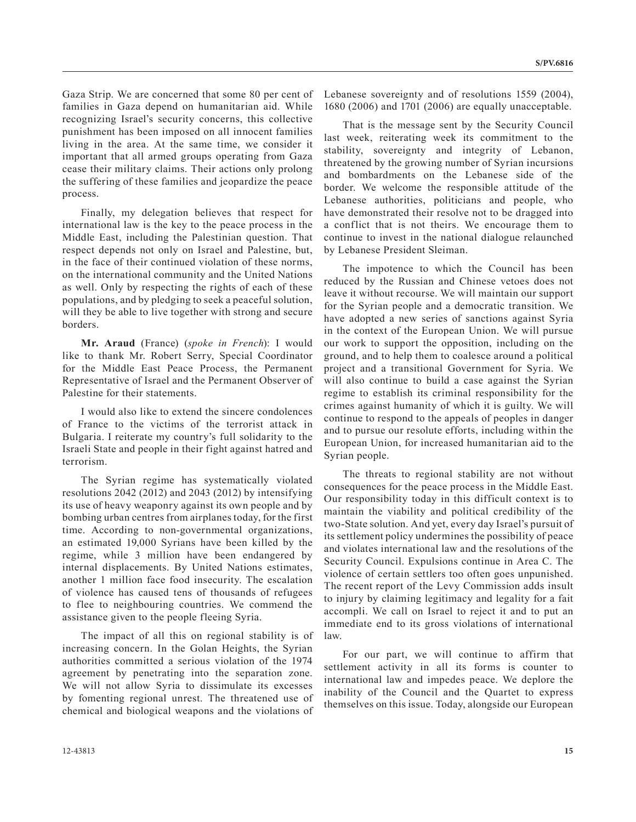Gaza Strip. We are concerned that some 80 per cent of families in Gaza depend on humanitarian aid. While recognizing Israel's security concerns, this collective punishment has been imposed on all innocent families living in the area. At the same time, we consider it important that all armed groups operating from Gaza cease their military claims. Their actions only prolong the suffering of these families and jeopardize the peace process.

Finally, my delegation believes that respect for international law is the key to the peace process in the Middle East, including the Palestinian question. That respect depends not only on Israel and Palestine, but, in the face of their continued violation of these norms, on the international community and the United Nations as well. Only by respecting the rights of each of these populations, and by pledging to seek a peaceful solution, will they be able to live together with strong and secure borders.

**Mr. Araud** (France) (*spoke in French*): I would like to thank Mr. Robert Serry, Special Coordinator for the Middle East Peace Process, the Permanent Representative of Israel and the Permanent Observer of Palestine for their statements.

I would also like to extend the sincere condolences of France to the victims of the terrorist attack in Bulgaria. I reiterate my country's full solidarity to the Israeli State and people in their fight against hatred and terrorism.

The Syrian regime has systematically violated resolutions 2042 (2012) and 2043 (2012) by intensifying its use of heavy weaponry against its own people and by bombing urban centres from airplanes today, for the first time. According to non-governmental organizations, an estimated 19,000 Syrians have been killed by the regime, while 3 million have been endangered by internal displacements. By United Nations estimates, another 1 million face food insecurity. The escalation of violence has caused tens of thousands of refugees to flee to neighbouring countries. We commend the assistance given to the people fleeing Syria.

The impact of all this on regional stability is of increasing concern. In the Golan Heights, the Syrian authorities committed a serious violation of the 1974 agreement by penetrating into the separation zone. We will not allow Syria to dissimulate its excesses by fomenting regional unrest. The threatened use of chemical and biological weapons and the violations of

Lebanese sovereignty and of resolutions 1559 (2004), 1680 (2006) and 1701 (2006) are equally unacceptable.

That is the message sent by the Security Council last week, reiterating week its commitment to the stability, sovereignty and integrity of Lebanon, threatened by the growing number of Syrian incursions and bombardments on the Lebanese side of the border. We welcome the responsible attitude of the Lebanese authorities, politicians and people, who have demonstrated their resolve not to be dragged into a conflict that is not theirs. We encourage them to continue to invest in the national dialogue relaunched by Lebanese President Sleiman.

The impotence to which the Council has been reduced by the Russian and Chinese vetoes does not leave it without recourse. We will maintain our support for the Syrian people and a democratic transition. We have adopted a new series of sanctions against Syria in the context of the European Union. We will pursue our work to support the opposition, including on the ground, and to help them to coalesce around a political project and a transitional Government for Syria. We will also continue to build a case against the Syrian regime to establish its criminal responsibility for the crimes against humanity of which it is guilty. We will continue to respond to the appeals of peoples in danger and to pursue our resolute efforts, including within the European Union, for increased humanitarian aid to the Syrian people.

The threats to regional stability are not without consequences for the peace process in the Middle East. Our responsibility today in this difficult context is to maintain the viability and political credibility of the two-State solution. And yet, every day Israel's pursuit of its settlement policy undermines the possibility of peace and violates international law and the resolutions of the Security Council. Expulsions continue in Area C. The violence of certain settlers too often goes unpunished. The recent report of the Levy Commission adds insult to injury by claiming legitimacy and legality for a fait accompli. We call on Israel to reject it and to put an immediate end to its gross violations of international law.

For our part, we will continue to affirm that settlement activity in all its forms is counter to international law and impedes peace. We deplore the inability of the Council and the Quartet to express themselves on this issue. Today, alongside our European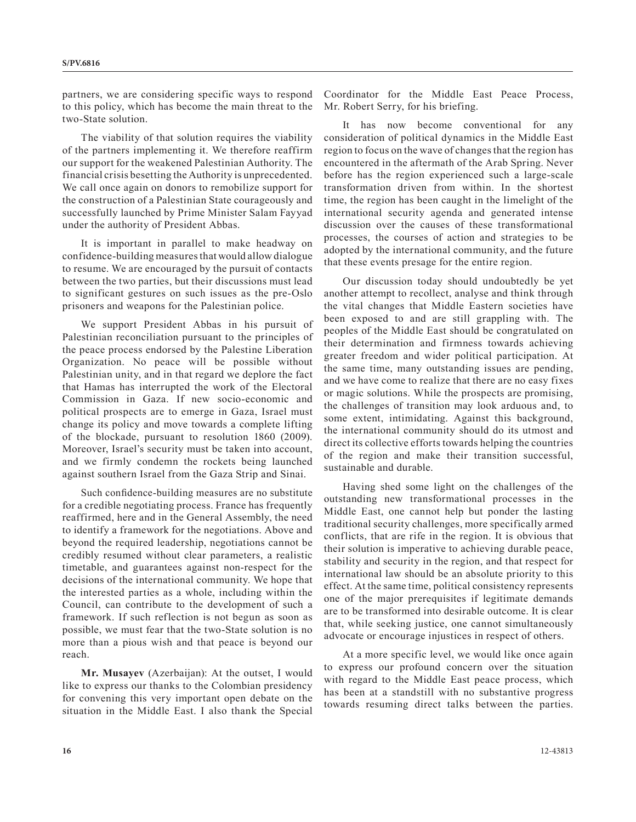partners, we are considering specific ways to respond to this policy, which has become the main threat to the two-State solution.

The viability of that solution requires the viability of the partners implementing it. We therefore reaffirm our support for the weakened Palestinian Authority. The financial crisis besetting the Authority is unprecedented. We call once again on donors to remobilize support for the construction of a Palestinian State courageously and successfully launched by Prime Minister Salam Fayyad under the authority of President Abbas.

It is important in parallel to make headway on confidence-building measures that would allow dialogue to resume. We are encouraged by the pursuit of contacts between the two parties, but their discussions must lead to significant gestures on such issues as the pre-Oslo prisoners and weapons for the Palestinian police.

We support President Abbas in his pursuit of Palestinian reconciliation pursuant to the principles of the peace process endorsed by the Palestine Liberation Organization. No peace will be possible without Palestinian unity, and in that regard we deplore the fact that Hamas has interrupted the work of the Electoral Commission in Gaza. If new socio-economic and political prospects are to emerge in Gaza, Israel must change its policy and move towards a complete lifting of the blockade, pursuant to resolution 1860 (2009). Moreover, Israel's security must be taken into account, and we firmly condemn the rockets being launched against southern Israel from the Gaza Strip and Sinai.

Such confidence-building measures are no substitute for a credible negotiating process. France has frequently reaffirmed, here and in the General Assembly, the need to identify a framework for the negotiations. Above and beyond the required leadership, negotiations cannot be credibly resumed without clear parameters, a realistic timetable, and guarantees against non-respect for the decisions of the international community. We hope that the interested parties as a whole, including within the Council, can contribute to the development of such a framework. If such reflection is not begun as soon as possible, we must fear that the two-State solution is no more than a pious wish and that peace is beyond our reach.

**Mr. Musayev** (Azerbaijan): At the outset, I would like to express our thanks to the Colombian presidency for convening this very important open debate on the situation in the Middle East. I also thank the Special

Coordinator for the Middle East Peace Process, Mr. Robert Serry, for his briefing.

It has now become conventional for any consideration of political dynamics in the Middle East region to focus on the wave of changes that the region has encountered in the aftermath of the Arab Spring. Never before has the region experienced such a large-scale transformation driven from within. In the shortest time, the region has been caught in the limelight of the international security agenda and generated intense discussion over the causes of these transformational processes, the courses of action and strategies to be adopted by the international community, and the future that these events presage for the entire region.

Our discussion today should undoubtedly be yet another attempt to recollect, analyse and think through the vital changes that Middle Eastern societies have been exposed to and are still grappling with. The peoples of the Middle East should be congratulated on their determination and firmness towards achieving greater freedom and wider political participation. At the same time, many outstanding issues are pending, and we have come to realize that there are no easy fixes or magic solutions. While the prospects are promising, the challenges of transition may look arduous and, to some extent, intimidating. Against this background, the international community should do its utmost and direct its collective efforts towards helping the countries of the region and make their transition successful, sustainable and durable.

Having shed some light on the challenges of the outstanding new transformational processes in the Middle East, one cannot help but ponder the lasting traditional security challenges, more specifically armed conflicts, that are rife in the region. It is obvious that their solution is imperative to achieving durable peace, stability and security in the region, and that respect for international law should be an absolute priority to this effect. At the same time, political consistency represents one of the major prerequisites if legitimate demands are to be transformed into desirable outcome. It is clear that, while seeking justice, one cannot simultaneously advocate or encourage injustices in respect of others.

At a more specific level, we would like once again to express our profound concern over the situation with regard to the Middle East peace process, which has been at a standstill with no substantive progress towards resuming direct talks between the parties.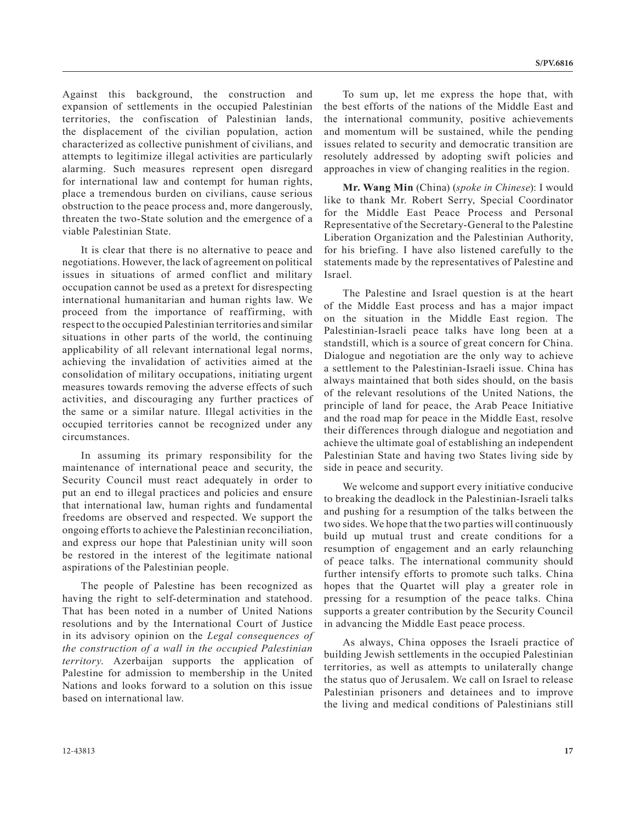Against this background, the construction and expansion of settlements in the occupied Palestinian territories, the confiscation of Palestinian lands, the displacement of the civilian population, action characterized as collective punishment of civilians, and attempts to legitimize illegal activities are particularly alarming. Such measures represent open disregard for international law and contempt for human rights, place a tremendous burden on civilians, cause serious obstruction to the peace process and, more dangerously, threaten the two-State solution and the emergence of a viable Palestinian State.

It is clear that there is no alternative to peace and negotiations. However, the lack of agreement on political issues in situations of armed conflict and military occupation cannot be used as a pretext for disrespecting international humanitarian and human rights law. We proceed from the importance of reaffirming, with respect to the occupied Palestinian territories and similar situations in other parts of the world, the continuing applicability of all relevant international legal norms, achieving the invalidation of activities aimed at the consolidation of military occupations, initiating urgent measures towards removing the adverse effects of such activities, and discouraging any further practices of the same or a similar nature. Illegal activities in the occupied territories cannot be recognized under any circumstances.

In assuming its primary responsibility for the maintenance of international peace and security, the Security Council must react adequately in order to put an end to illegal practices and policies and ensure that international law, human rights and fundamental freedoms are observed and respected. We support the ongoing efforts to achieve the Palestinian reconciliation, and express our hope that Palestinian unity will soon be restored in the interest of the legitimate national aspirations of the Palestinian people.

The people of Palestine has been recognized as having the right to self-determination and statehood. That has been noted in a number of United Nations resolutions and by the International Court of Justice in its advisory opinion on the *Legal consequences of the construction of a wall in the occupied Palestinian territory*. Azerbaijan supports the application of Palestine for admission to membership in the United Nations and looks forward to a solution on this issue based on international law.

To sum up, let me express the hope that, with the best efforts of the nations of the Middle East and the international community, positive achievements and momentum will be sustained, while the pending issues related to security and democratic transition are resolutely addressed by adopting swift policies and approaches in view of changing realities in the region.

**Mr. Wang Min** (China) (*spoke in Chinese*): I would like to thank Mr. Robert Serry, Special Coordinator for the Middle East Peace Process and Personal Representative of the Secretary-General to the Palestine Liberation Organization and the Palestinian Authority, for his briefing. I have also listened carefully to the statements made by the representatives of Palestine and Israel.

The Palestine and Israel question is at the heart of the Middle East process and has a major impact on the situation in the Middle East region. The Palestinian-Israeli peace talks have long been at a standstill, which is a source of great concern for China. Dialogue and negotiation are the only way to achieve a settlement to the Palestinian-Israeli issue. China has always maintained that both sides should, on the basis of the relevant resolutions of the United Nations, the principle of land for peace, the Arab Peace Initiative and the road map for peace in the Middle East, resolve their differences through dialogue and negotiation and achieve the ultimate goal of establishing an independent Palestinian State and having two States living side by side in peace and security.

We welcome and support every initiative conducive to breaking the deadlock in the Palestinian-Israeli talks and pushing for a resumption of the talks between the two sides. We hope that the two parties will continuously build up mutual trust and create conditions for a resumption of engagement and an early relaunching of peace talks. The international community should further intensify efforts to promote such talks. China hopes that the Quartet will play a greater role in pressing for a resumption of the peace talks. China supports a greater contribution by the Security Council in advancing the Middle East peace process.

As always, China opposes the Israeli practice of building Jewish settlements in the occupied Palestinian territories, as well as attempts to unilaterally change the status quo of Jerusalem. We call on Israel to release Palestinian prisoners and detainees and to improve the living and medical conditions of Palestinians still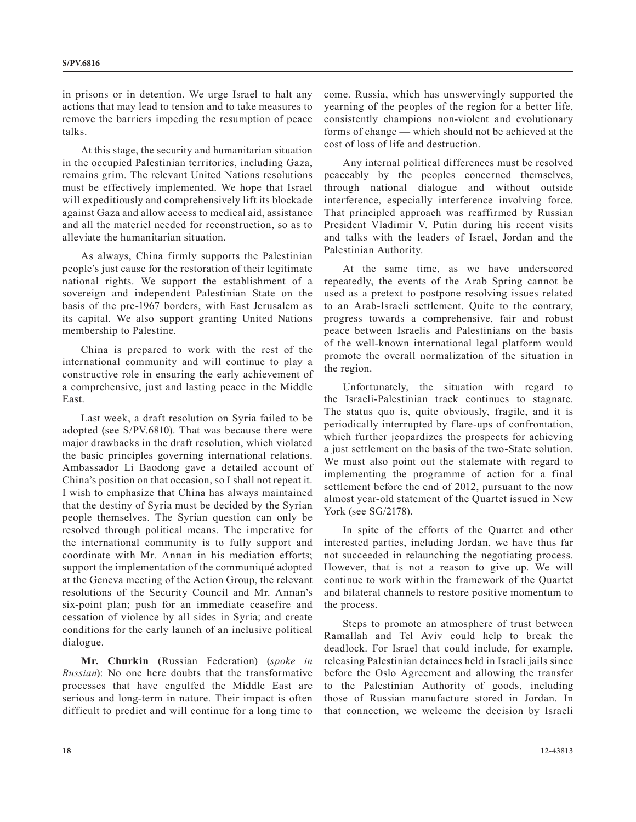in prisons or in detention. We urge Israel to halt any actions that may lead to tension and to take measures to remove the barriers impeding the resumption of peace talks.

At this stage, the security and humanitarian situation in the occupied Palestinian territories, including Gaza, remains grim. The relevant United Nations resolutions must be effectively implemented. We hope that Israel will expeditiously and comprehensively lift its blockade against Gaza and allow access to medical aid, assistance and all the materiel needed for reconstruction, so as to alleviate the humanitarian situation.

As always, China firmly supports the Palestinian people's just cause for the restoration of their legitimate national rights. We support the establishment of a sovereign and independent Palestinian State on the basis of the pre-1967 borders, with East Jerusalem as its capital. We also support granting United Nations membership to Palestine.

China is prepared to work with the rest of the international community and will continue to play a constructive role in ensuring the early achievement of a comprehensive, just and lasting peace in the Middle East.

Last week, a draft resolution on Syria failed to be adopted (see S/PV.6810). That was because there were major drawbacks in the draft resolution, which violated the basic principles governing international relations. Ambassador Li Baodong gave a detailed account of China's position on that occasion, so I shall not repeat it. I wish to emphasize that China has always maintained that the destiny of Syria must be decided by the Syrian people themselves. The Syrian question can only be resolved through political means. The imperative for the international community is to fully support and coordinate with Mr. Annan in his mediation efforts; support the implementation of the communiqué adopted at the Geneva meeting of the Action Group, the relevant resolutions of the Security Council and Mr. Annan's six-point plan; push for an immediate ceasefire and cessation of violence by all sides in Syria; and create conditions for the early launch of an inclusive political dialogue.

**Mr. Churkin** (Russian Federation) (*spoke in Russian*): No one here doubts that the transformative processes that have engulfed the Middle East are serious and long-term in nature. Their impact is often difficult to predict and will continue for a long time to come. Russia, which has unswervingly supported the yearning of the peoples of the region for a better life, consistently champions non-violent and evolutionary forms of change — which should not be achieved at the cost of loss of life and destruction.

Any internal political differences must be resolved peaceably by the peoples concerned themselves, through national dialogue and without outside interference, especially interference involving force. That principled approach was reaffirmed by Russian President Vladimir V. Putin during his recent visits and talks with the leaders of Israel, Jordan and the Palestinian Authority.

At the same time, as we have underscored repeatedly, the events of the Arab Spring cannot be used as a pretext to postpone resolving issues related to an Arab-Israeli settlement. Quite to the contrary, progress towards a comprehensive, fair and robust peace between Israelis and Palestinians on the basis of the well-known international legal platform would promote the overall normalization of the situation in the region.

Unfortunately, the situation with regard to the Israeli-Palestinian track continues to stagnate. The status quo is, quite obviously, fragile, and it is periodically interrupted by flare-ups of confrontation, which further jeopardizes the prospects for achieving a just settlement on the basis of the two-State solution. We must also point out the stalemate with regard to implementing the programme of action for a final settlement before the end of 2012, pursuant to the now almost year-old statement of the Quartet issued in New York (see SG/2178).

In spite of the efforts of the Quartet and other interested parties, including Jordan, we have thus far not succeeded in relaunching the negotiating process. However, that is not a reason to give up. We will continue to work within the framework of the Quartet and bilateral channels to restore positive momentum to the process.

Steps to promote an atmosphere of trust between Ramallah and Tel Aviv could help to break the deadlock. For Israel that could include, for example, releasing Palestinian detainees held in Israeli jails since before the Oslo Agreement and allowing the transfer to the Palestinian Authority of goods, including those of Russian manufacture stored in Jordan. In that connection, we welcome the decision by Israeli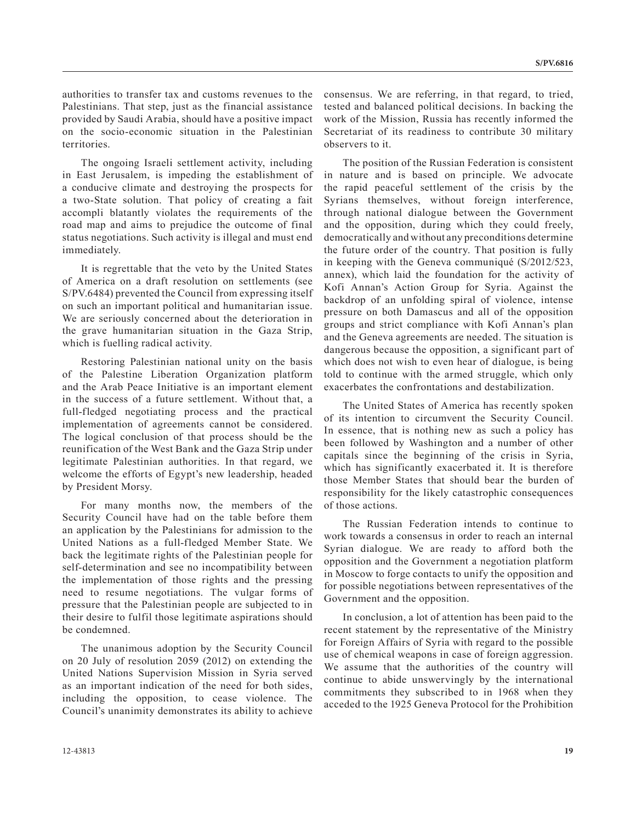authorities to transfer tax and customs revenues to the Palestinians. That step, just as the financial assistance provided by Saudi Arabia, should have a positive impact on the socio-economic situation in the Palestinian territories.

The ongoing Israeli settlement activity, including in East Jerusalem, is impeding the establishment of a conducive climate and destroying the prospects for a two-State solution. That policy of creating a fait accompli blatantly violates the requirements of the road map and aims to prejudice the outcome of final status negotiations. Such activity is illegal and must end immediately.

It is regrettable that the veto by the United States of America on a draft resolution on settlements (see S/PV.6484) prevented the Council from expressing itself on such an important political and humanitarian issue. We are seriously concerned about the deterioration in the grave humanitarian situation in the Gaza Strip, which is fuelling radical activity.

Restoring Palestinian national unity on the basis of the Palestine Liberation Organization platform and the Arab Peace Initiative is an important element in the success of a future settlement. Without that, a full-fledged negotiating process and the practical implementation of agreements cannot be considered. The logical conclusion of that process should be the reunification of the West Bank and the Gaza Strip under legitimate Palestinian authorities. In that regard, we welcome the efforts of Egypt's new leadership, headed by President Morsy.

For many months now, the members of the Security Council have had on the table before them an application by the Palestinians for admission to the United Nations as a full-fledged Member State. We back the legitimate rights of the Palestinian people for self-determination and see no incompatibility between the implementation of those rights and the pressing need to resume negotiations. The vulgar forms of pressure that the Palestinian people are subjected to in their desire to fulfil those legitimate aspirations should be condemned.

The unanimous adoption by the Security Council on 20 July of resolution 2059 (2012) on extending the United Nations Supervision Mission in Syria served as an important indication of the need for both sides, including the opposition, to cease violence. The Council's unanimity demonstrates its ability to achieve

consensus. We are referring, in that regard, to tried, tested and balanced political decisions. In backing the work of the Mission, Russia has recently informed the Secretariat of its readiness to contribute 30 military observers to it.

The position of the Russian Federation is consistent in nature and is based on principle. We advocate the rapid peaceful settlement of the crisis by the Syrians themselves, without foreign interference, through national dialogue between the Government and the opposition, during which they could freely, democratically and without any preconditions determine the future order of the country. That position is fully in keeping with the Geneva communiqué (S/2012/523, annex), which laid the foundation for the activity of Kofi Annan's Action Group for Syria. Against the backdrop of an unfolding spiral of violence, intense pressure on both Damascus and all of the opposition groups and strict compliance with Kofi Annan's plan and the Geneva agreements are needed. The situation is dangerous because the opposition, a significant part of which does not wish to even hear of dialogue, is being told to continue with the armed struggle, which only exacerbates the confrontations and destabilization.

The United States of America has recently spoken of its intention to circumvent the Security Council. In essence, that is nothing new as such a policy has been followed by Washington and a number of other capitals since the beginning of the crisis in Syria, which has significantly exacerbated it. It is therefore those Member States that should bear the burden of responsibility for the likely catastrophic consequences of those actions.

The Russian Federation intends to continue to work towards a consensus in order to reach an internal Syrian dialogue. We are ready to afford both the opposition and the Government a negotiation platform in Moscow to forge contacts to unify the opposition and for possible negotiations between representatives of the Government and the opposition.

In conclusion, a lot of attention has been paid to the recent statement by the representative of the Ministry for Foreign Affairs of Syria with regard to the possible use of chemical weapons in case of foreign aggression. We assume that the authorities of the country will continue to abide unswervingly by the international commitments they subscribed to in 1968 when they acceded to the 1925 Geneva Protocol for the Prohibition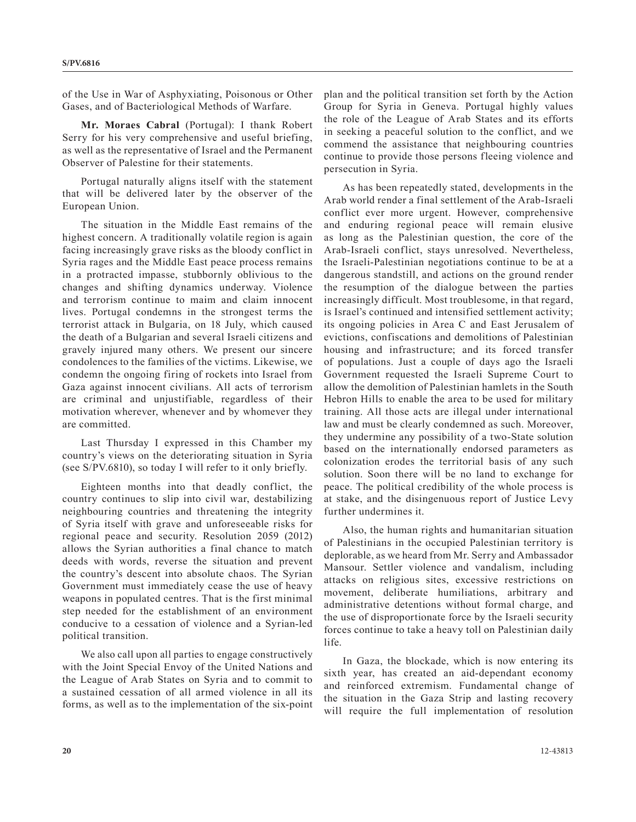of the Use in War of Asphyxiating, Poisonous or Other Gases, and of Bacteriological Methods of Warfare.

**Mr. Moraes Cabral** (Portugal): I thank Robert Serry for his very comprehensive and useful briefing, as well as the representative of Israel and the Permanent Observer of Palestine for their statements.

Portugal naturally aligns itself with the statement that will be delivered later by the observer of the European Union.

The situation in the Middle East remains of the highest concern. A traditionally volatile region is again facing increasingly grave risks as the bloody conflict in Syria rages and the Middle East peace process remains in a protracted impasse, stubbornly oblivious to the changes and shifting dynamics underway. Violence and terrorism continue to maim and claim innocent lives. Portugal condemns in the strongest terms the terrorist attack in Bulgaria, on 18 July, which caused the death of a Bulgarian and several Israeli citizens and gravely injured many others. We present our sincere condolences to the families of the victims. Likewise, we condemn the ongoing firing of rockets into Israel from Gaza against innocent civilians. All acts of terrorism are criminal and unjustifiable, regardless of their motivation wherever, whenever and by whomever they are committed.

Last Thursday I expressed in this Chamber my country's views on the deteriorating situation in Syria (see S/PV.6810), so today I will refer to it only briefly.

Eighteen months into that deadly conflict, the country continues to slip into civil war, destabilizing neighbouring countries and threatening the integrity of Syria itself with grave and unforeseeable risks for regional peace and security. Resolution 2059 (2012) allows the Syrian authorities a final chance to match deeds with words, reverse the situation and prevent the country's descent into absolute chaos. The Syrian Government must immediately cease the use of heavy weapons in populated centres. That is the first minimal step needed for the establishment of an environment conducive to a cessation of violence and a Syrian-led political transition.

We also call upon all parties to engage constructively with the Joint Special Envoy of the United Nations and the League of Arab States on Syria and to commit to a sustained cessation of all armed violence in all its forms, as well as to the implementation of the six-point plan and the political transition set forth by the Action Group for Syria in Geneva. Portugal highly values the role of the League of Arab States and its efforts in seeking a peaceful solution to the conflict, and we commend the assistance that neighbouring countries continue to provide those persons fleeing violence and persecution in Syria.

As has been repeatedly stated, developments in the Arab world render a final settlement of the Arab-Israeli conflict ever more urgent. However, comprehensive and enduring regional peace will remain elusive as long as the Palestinian question, the core of the Arab-Israeli conflict, stays unresolved. Nevertheless, the Israeli-Palestinian negotiations continue to be at a dangerous standstill, and actions on the ground render the resumption of the dialogue between the parties increasingly difficult. Most troublesome, in that regard, is Israel's continued and intensified settlement activity; its ongoing policies in Area C and East Jerusalem of evictions, confiscations and demolitions of Palestinian housing and infrastructure; and its forced transfer of populations. Just a couple of days ago the Israeli Government requested the Israeli Supreme Court to allow the demolition of Palestinian hamlets in the South Hebron Hills to enable the area to be used for military training. All those acts are illegal under international law and must be clearly condemned as such. Moreover, they undermine any possibility of a two-State solution based on the internationally endorsed parameters as colonization erodes the territorial basis of any such solution. Soon there will be no land to exchange for peace. The political credibility of the whole process is at stake, and the disingenuous report of Justice Levy further undermines it.

Also, the human rights and humanitarian situation of Palestinians in the occupied Palestinian territory is deplorable, as we heard from Mr. Serry and Ambassador Mansour. Settler violence and vandalism, including attacks on religious sites, excessive restrictions on movement, deliberate humiliations, arbitrary and administrative detentions without formal charge, and the use of disproportionate force by the Israeli security forces continue to take a heavy toll on Palestinian daily life.

In Gaza, the blockade, which is now entering its sixth year, has created an aid-dependant economy and reinforced extremism. Fundamental change of the situation in the Gaza Strip and lasting recovery will require the full implementation of resolution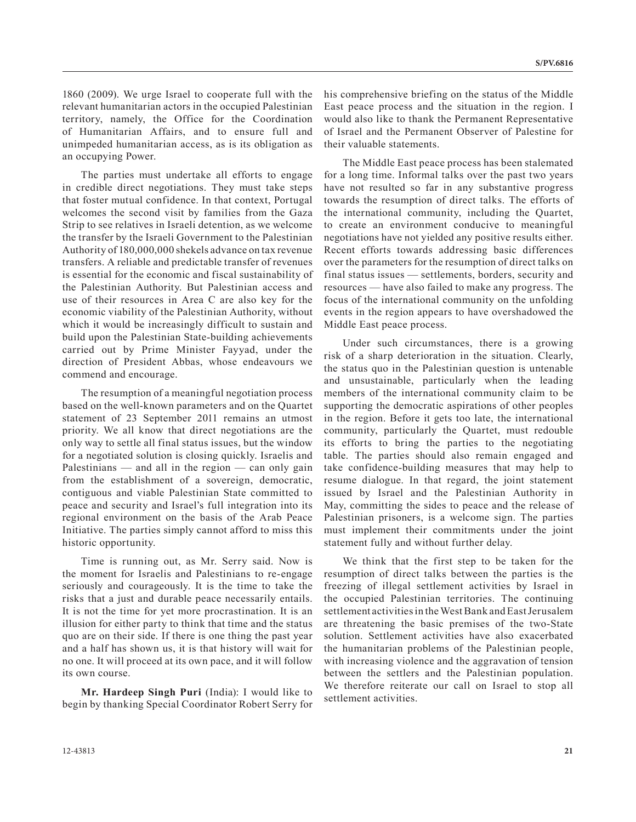1860 (2009). We urge Israel to cooperate full with the relevant humanitarian actors in the occupied Palestinian territory, namely, the Office for the Coordination of Humanitarian Affairs, and to ensure full and unimpeded humanitarian access, as is its obligation as an occupying Power.

The parties must undertake all efforts to engage in credible direct negotiations. They must take steps that foster mutual confidence. In that context, Portugal welcomes the second visit by families from the Gaza Strip to see relatives in Israeli detention, as we welcome the transfer by the Israeli Government to the Palestinian Authority of 180,000,000 shekels advance on tax revenue transfers. A reliable and predictable transfer of revenues is essential for the economic and fiscal sustainability of the Palestinian Authority. But Palestinian access and use of their resources in Area C are also key for the economic viability of the Palestinian Authority, without which it would be increasingly difficult to sustain and build upon the Palestinian State-building achievements carried out by Prime Minister Fayyad, under the direction of President Abbas, whose endeavours we commend and encourage.

The resumption of a meaningful negotiation process based on the well-known parameters and on the Quartet statement of 23 September 2011 remains an utmost priority. We all know that direct negotiations are the only way to settle all final status issues, but the window for a negotiated solution is closing quickly. Israelis and Palestinians — and all in the region — can only gain from the establishment of a sovereign, democratic, contiguous and viable Palestinian State committed to peace and security and Israel's full integration into its regional environment on the basis of the Arab Peace Initiative. The parties simply cannot afford to miss this historic opportunity.

Time is running out, as Mr. Serry said. Now is the moment for Israelis and Palestinians to re-engage seriously and courageously. It is the time to take the risks that a just and durable peace necessarily entails. It is not the time for yet more procrastination. It is an illusion for either party to think that time and the status quo are on their side. If there is one thing the past year and a half has shown us, it is that history will wait for no one. It will proceed at its own pace, and it will follow its own course.

**Mr. Hardeep Singh Puri** (India): I would like to begin by thanking Special Coordinator Robert Serry for his comprehensive briefing on the status of the Middle East peace process and the situation in the region. I would also like to thank the Permanent Representative of Israel and the Permanent Observer of Palestine for their valuable statements.

The Middle East peace process has been stalemated for a long time. Informal talks over the past two years have not resulted so far in any substantive progress towards the resumption of direct talks. The efforts of the international community, including the Quartet, to create an environment conducive to meaningful negotiations have not yielded any positive results either. Recent efforts towards addressing basic differences over the parameters for the resumption of direct talks on final status issues — settlements, borders, security and resources — have also failed to make any progress. The focus of the international community on the unfolding events in the region appears to have overshadowed the Middle East peace process.

Under such circumstances, there is a growing risk of a sharp deterioration in the situation. Clearly, the status quo in the Palestinian question is untenable and unsustainable, particularly when the leading members of the international community claim to be supporting the democratic aspirations of other peoples in the region. Before it gets too late, the international community, particularly the Quartet, must redouble its efforts to bring the parties to the negotiating table. The parties should also remain engaged and take confidence-building measures that may help to resume dialogue. In that regard, the joint statement issued by Israel and the Palestinian Authority in May, committing the sides to peace and the release of Palestinian prisoners, is a welcome sign. The parties must implement their commitments under the joint statement fully and without further delay.

We think that the first step to be taken for the resumption of direct talks between the parties is the freezing of illegal settlement activities by Israel in the occupied Palestinian territories. The continuing settlement activities in the West Bank and East Jerusalem are threatening the basic premises of the two-State solution. Settlement activities have also exacerbated the humanitarian problems of the Palestinian people, with increasing violence and the aggravation of tension between the settlers and the Palestinian population. We therefore reiterate our call on Israel to stop all settlement activities.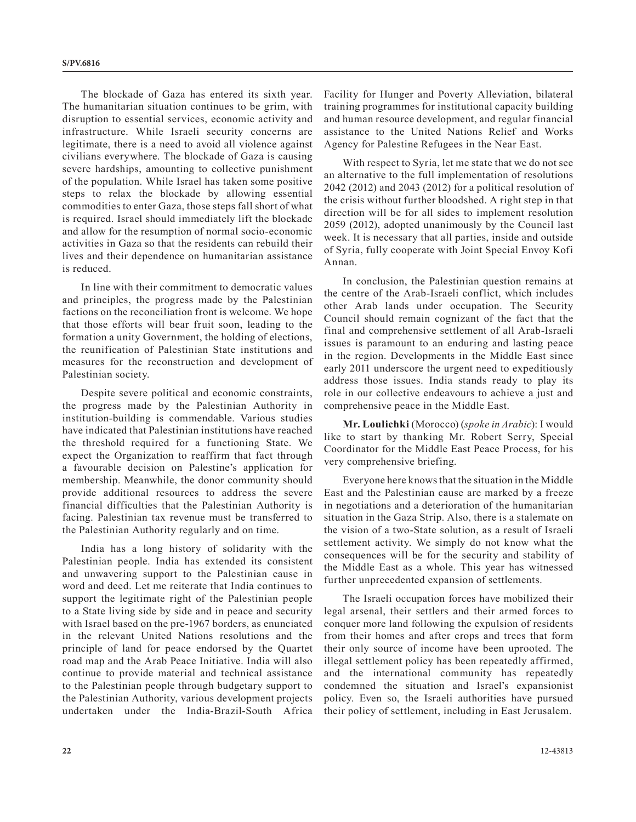The blockade of Gaza has entered its sixth year. The humanitarian situation continues to be grim, with disruption to essential services, economic activity and infrastructure. While Israeli security concerns are legitimate, there is a need to avoid all violence against civilians everywhere. The blockade of Gaza is causing severe hardships, amounting to collective punishment of the population. While Israel has taken some positive steps to relax the blockade by allowing essential commodities to enter Gaza, those steps fall short of what is required. Israel should immediately lift the blockade and allow for the resumption of normal socio-economic activities in Gaza so that the residents can rebuild their lives and their dependence on humanitarian assistance is reduced.

In line with their commitment to democratic values and principles, the progress made by the Palestinian factions on the reconciliation front is welcome. We hope that those efforts will bear fruit soon, leading to the formation a unity Government, the holding of elections, the reunification of Palestinian State institutions and measures for the reconstruction and development of Palestinian society.

Despite severe political and economic constraints, the progress made by the Palestinian Authority in institution-building is commendable. Various studies have indicated that Palestinian institutions have reached the threshold required for a functioning State. We expect the Organization to reaffirm that fact through a favourable decision on Palestine's application for membership. Meanwhile, the donor community should provide additional resources to address the severe financial difficulties that the Palestinian Authority is facing. Palestinian tax revenue must be transferred to the Palestinian Authority regularly and on time.

India has a long history of solidarity with the Palestinian people. India has extended its consistent and unwavering support to the Palestinian cause in word and deed. Let me reiterate that India continues to support the legitimate right of the Palestinian people to a State living side by side and in peace and security with Israel based on the pre-1967 borders, as enunciated in the relevant United Nations resolutions and the principle of land for peace endorsed by the Quartet road map and the Arab Peace Initiative. India will also continue to provide material and technical assistance to the Palestinian people through budgetary support to the Palestinian Authority, various development projects undertaken under the India-Brazil-South Africa Facility for Hunger and Poverty Alleviation, bilateral training programmes for institutional capacity building and human resource development, and regular financial assistance to the United Nations Relief and Works Agency for Palestine Refugees in the Near East.

With respect to Syria, let me state that we do not see an alternative to the full implementation of resolutions 2042 (2012) and 2043 (2012) for a political resolution of the crisis without further bloodshed. A right step in that direction will be for all sides to implement resolution 2059 (2012), adopted unanimously by the Council last week. It is necessary that all parties, inside and outside of Syria, fully cooperate with Joint Special Envoy Kofi Annan.

In conclusion, the Palestinian question remains at the centre of the Arab-Israeli conflict, which includes other Arab lands under occupation. The Security Council should remain cognizant of the fact that the final and comprehensive settlement of all Arab-Israeli issues is paramount to an enduring and lasting peace in the region. Developments in the Middle East since early 2011 underscore the urgent need to expeditiously address those issues. India stands ready to play its role in our collective endeavours to achieve a just and comprehensive peace in the Middle East.

**Mr. Loulichki** (Morocco) (*spoke in Arabic*): I would like to start by thanking Mr. Robert Serry, Special Coordinator for the Middle East Peace Process, for his very comprehensive briefing.

Everyone here knows that the situation in the Middle East and the Palestinian cause are marked by a freeze in negotiations and a deterioration of the humanitarian situation in the Gaza Strip. Also, there is a stalemate on the vision of a two-State solution, as a result of Israeli settlement activity. We simply do not know what the consequences will be for the security and stability of the Middle East as a whole. This year has witnessed further unprecedented expansion of settlements.

The Israeli occupation forces have mobilized their legal arsenal, their settlers and their armed forces to conquer more land following the expulsion of residents from their homes and after crops and trees that form their only source of income have been uprooted. The illegal settlement policy has been repeatedly affirmed, and the international community has repeatedly condemned the situation and Israel's expansionist policy. Even so, the Israeli authorities have pursued their policy of settlement, including in East Jerusalem.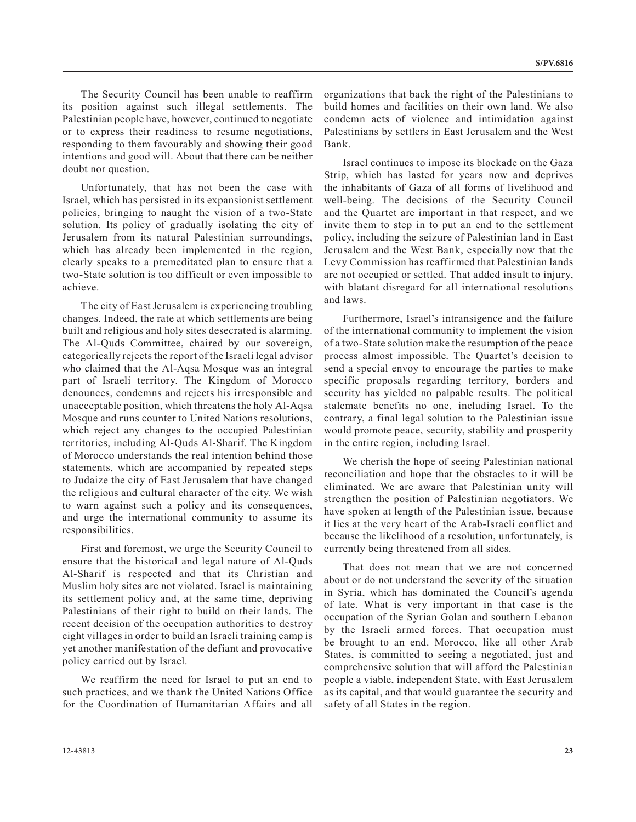The Security Council has been unable to reaffirm its position against such illegal settlements. The Palestinian people have, however, continued to negotiate or to express their readiness to resume negotiations, responding to them favourably and showing their good intentions and good will. About that there can be neither doubt nor question.

Unfortunately, that has not been the case with Israel, which has persisted in its expansionist settlement policies, bringing to naught the vision of a two-State solution. Its policy of gradually isolating the city of Jerusalem from its natural Palestinian surroundings, which has already been implemented in the region, clearly speaks to a premeditated plan to ensure that a two-State solution is too difficult or even impossible to achieve.

The city of East Jerusalem is experiencing troubling changes. Indeed, the rate at which settlements are being built and religious and holy sites desecrated is alarming. The Al-Quds Committee, chaired by our sovereign, categorically rejects the report of the Israeli legal advisor who claimed that the Al-Aqsa Mosque was an integral part of Israeli territory. The Kingdom of Morocco denounces, condemns and rejects his irresponsible and unacceptable position, which threatens the holy Al-Aqsa Mosque and runs counter to United Nations resolutions, which reject any changes to the occupied Palestinian territories, including Al-Quds Al-Sharif. The Kingdom of Morocco understands the real intention behind those statements, which are accompanied by repeated steps to Judaize the city of East Jerusalem that have changed the religious and cultural character of the city. We wish to warn against such a policy and its consequences, and urge the international community to assume its responsibilities.

First and foremost, we urge the Security Council to ensure that the historical and legal nature of Al-Quds Al-Sharif is respected and that its Christian and Muslim holy sites are not violated. Israel is maintaining its settlement policy and, at the same time, depriving Palestinians of their right to build on their lands. The recent decision of the occupation authorities to destroy eight villages in order to build an Israeli training camp is yet another manifestation of the defiant and provocative policy carried out by Israel.

We reaffirm the need for Israel to put an end to such practices, and we thank the United Nations Office for the Coordination of Humanitarian Affairs and all organizations that back the right of the Palestinians to build homes and facilities on their own land. We also condemn acts of violence and intimidation against Palestinians by settlers in East Jerusalem and the West Bank.

Israel continues to impose its blockade on the Gaza Strip, which has lasted for years now and deprives the inhabitants of Gaza of all forms of livelihood and well-being. The decisions of the Security Council and the Quartet are important in that respect, and we invite them to step in to put an end to the settlement policy, including the seizure of Palestinian land in East Jerusalem and the West Bank, especially now that the Levy Commission has reaffirmed that Palestinian lands are not occupied or settled. That added insult to injury, with blatant disregard for all international resolutions and laws.

Furthermore, Israel's intransigence and the failure of the international community to implement the vision of a two-State solution make the resumption of the peace process almost impossible. The Quartet's decision to send a special envoy to encourage the parties to make specific proposals regarding territory, borders and security has yielded no palpable results. The political stalemate benefits no one, including Israel. To the contrary, a final legal solution to the Palestinian issue would promote peace, security, stability and prosperity in the entire region, including Israel.

We cherish the hope of seeing Palestinian national reconciliation and hope that the obstacles to it will be eliminated. We are aware that Palestinian unity will strengthen the position of Palestinian negotiators. We have spoken at length of the Palestinian issue, because it lies at the very heart of the Arab-Israeli conflict and because the likelihood of a resolution, unfortunately, is currently being threatened from all sides.

That does not mean that we are not concerned about or do not understand the severity of the situation in Syria, which has dominated the Council's agenda of late. What is very important in that case is the occupation of the Syrian Golan and southern Lebanon by the Israeli armed forces. That occupation must be brought to an end. Morocco, like all other Arab States, is committed to seeing a negotiated, just and comprehensive solution that will afford the Palestinian people a viable, independent State, with East Jerusalem as its capital, and that would guarantee the security and safety of all States in the region.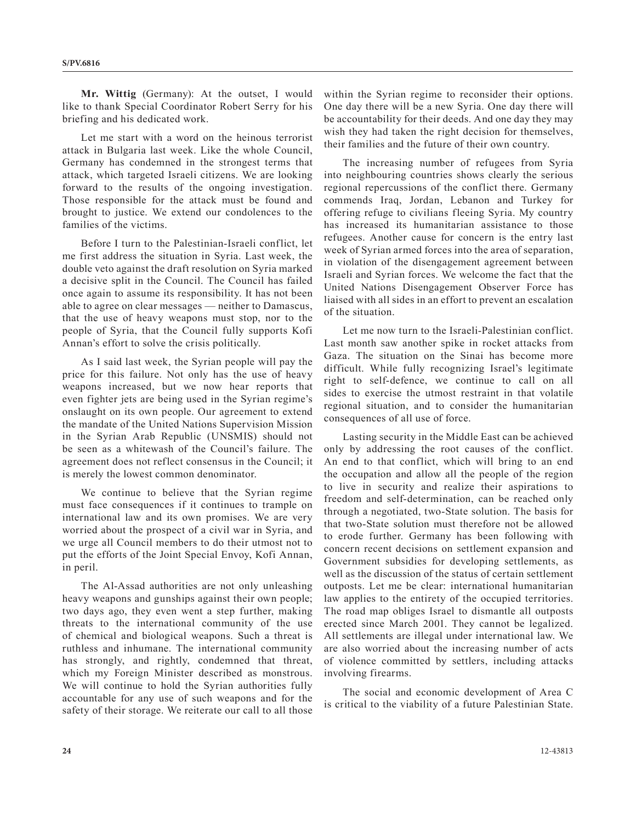**Mr. Wittig** (Germany): At the outset, I would like to thank Special Coordinator Robert Serry for his briefing and his dedicated work.

Let me start with a word on the heinous terrorist attack in Bulgaria last week. Like the whole Council, Germany has condemned in the strongest terms that attack, which targeted Israeli citizens. We are looking forward to the results of the ongoing investigation. Those responsible for the attack must be found and brought to justice. We extend our condolences to the families of the victims.

Before I turn to the Palestinian-Israeli conflict, let me first address the situation in Syria. Last week, the double veto against the draft resolution on Syria marked a decisive split in the Council. The Council has failed once again to assume its responsibility. It has not been able to agree on clear messages — neither to Damascus, that the use of heavy weapons must stop, nor to the people of Syria, that the Council fully supports Kofi Annan's effort to solve the crisis politically.

As I said last week, the Syrian people will pay the price for this failure. Not only has the use of heavy weapons increased, but we now hear reports that even fighter jets are being used in the Syrian regime's onslaught on its own people. Our agreement to extend the mandate of the United Nations Supervision Mission in the Syrian Arab Republic (UNSMIS) should not be seen as a whitewash of the Council's failure. The agreement does not reflect consensus in the Council; it is merely the lowest common denominator.

We continue to believe that the Syrian regime must face consequences if it continues to trample on international law and its own promises. We are very worried about the prospect of a civil war in Syria, and we urge all Council members to do their utmost not to put the efforts of the Joint Special Envoy, Kofi Annan, in peril.

The Al-Assad authorities are not only unleashing heavy weapons and gunships against their own people; two days ago, they even went a step further, making threats to the international community of the use of chemical and biological weapons. Such a threat is ruthless and inhumane. The international community has strongly, and rightly, condemned that threat, which my Foreign Minister described as monstrous. We will continue to hold the Syrian authorities fully accountable for any use of such weapons and for the safety of their storage. We reiterate our call to all those within the Syrian regime to reconsider their options. One day there will be a new Syria. One day there will be accountability for their deeds. And one day they may wish they had taken the right decision for themselves, their families and the future of their own country.

The increasing number of refugees from Syria into neighbouring countries shows clearly the serious regional repercussions of the conflict there. Germany commends Iraq, Jordan, Lebanon and Turkey for offering refuge to civilians fleeing Syria. My country has increased its humanitarian assistance to those refugees. Another cause for concern is the entry last week of Syrian armed forces into the area of separation, in violation of the disengagement agreement between Israeli and Syrian forces. We welcome the fact that the United Nations Disengagement Observer Force has liaised with all sides in an effort to prevent an escalation of the situation.

Let me now turn to the Israeli-Palestinian conflict. Last month saw another spike in rocket attacks from Gaza. The situation on the Sinai has become more difficult. While fully recognizing Israel's legitimate right to self-defence, we continue to call on all sides to exercise the utmost restraint in that volatile regional situation, and to consider the humanitarian consequences of all use of force.

Lasting security in the Middle East can be achieved only by addressing the root causes of the conflict. An end to that conflict, which will bring to an end the occupation and allow all the people of the region to live in security and realize their aspirations to freedom and self-determination, can be reached only through a negotiated, two-State solution. The basis for that two-State solution must therefore not be allowed to erode further. Germany has been following with concern recent decisions on settlement expansion and Government subsidies for developing settlements, as well as the discussion of the status of certain settlement outposts. Let me be clear: international humanitarian law applies to the entirety of the occupied territories. The road map obliges Israel to dismantle all outposts erected since March 2001. They cannot be legalized. All settlements are illegal under international law. We are also worried about the increasing number of acts of violence committed by settlers, including attacks involving firearms.

The social and economic development of Area C is critical to the viability of a future Palestinian State.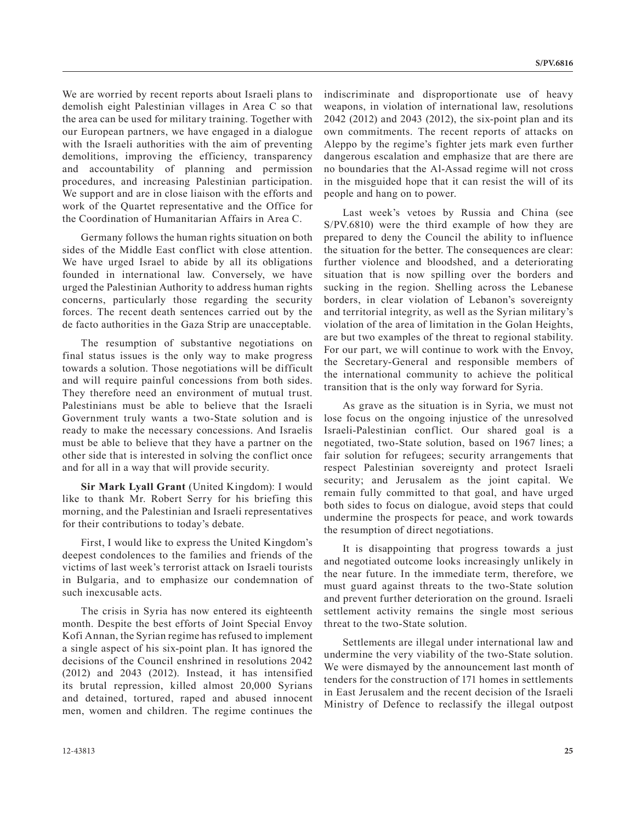We are worried by recent reports about Israeli plans to demolish eight Palestinian villages in Area C so that the area can be used for military training. Together with our European partners, we have engaged in a dialogue with the Israeli authorities with the aim of preventing demolitions, improving the efficiency, transparency and accountability of planning and permission procedures, and increasing Palestinian participation. We support and are in close liaison with the efforts and work of the Quartet representative and the Office for the Coordination of Humanitarian Affairs in Area C.

Germany follows the human rights situation on both sides of the Middle East conflict with close attention. We have urged Israel to abide by all its obligations founded in international law. Conversely, we have urged the Palestinian Authority to address human rights concerns, particularly those regarding the security forces. The recent death sentences carried out by the de facto authorities in the Gaza Strip are unacceptable.

The resumption of substantive negotiations on final status issues is the only way to make progress towards a solution. Those negotiations will be difficult and will require painful concessions from both sides. They therefore need an environment of mutual trust. Palestinians must be able to believe that the Israeli Government truly wants a two-State solution and is ready to make the necessary concessions. And Israelis must be able to believe that they have a partner on the other side that is interested in solving the conflict once and for all in a way that will provide security.

**Sir Mark Lyall Grant** (United Kingdom): I would like to thank Mr. Robert Serry for his briefing this morning, and the Palestinian and Israeli representatives for their contributions to today's debate.

First, I would like to express the United Kingdom's deepest condolences to the families and friends of the victims of last week's terrorist attack on Israeli tourists in Bulgaria, and to emphasize our condemnation of such inexcusable acts.

The crisis in Syria has now entered its eighteenth month. Despite the best efforts of Joint Special Envoy Kofi Annan, the Syrian regime has refused to implement a single aspect of his six-point plan. It has ignored the decisions of the Council enshrined in resolutions 2042 (2012) and 2043 (2012). Instead, it has intensified its brutal repression, killed almost 20,000 Syrians and detained, tortured, raped and abused innocent men, women and children. The regime continues the

indiscriminate and disproportionate use of heavy weapons, in violation of international law, resolutions 2042 (2012) and 2043 (2012), the six-point plan and its own commitments. The recent reports of attacks on Aleppo by the regime's fighter jets mark even further dangerous escalation and emphasize that are there are no boundaries that the Al-Assad regime will not cross in the misguided hope that it can resist the will of its people and hang on to power.

Last week's vetoes by Russia and China (see S/PV.6810) were the third example of how they are prepared to deny the Council the ability to influence the situation for the better. The consequences are clear: further violence and bloodshed, and a deteriorating situation that is now spilling over the borders and sucking in the region. Shelling across the Lebanese borders, in clear violation of Lebanon's sovereignty and territorial integrity, as well as the Syrian military's violation of the area of limitation in the Golan Heights, are but two examples of the threat to regional stability. For our part, we will continue to work with the Envoy, the Secretary-General and responsible members of the international community to achieve the political transition that is the only way forward for Syria.

As grave as the situation is in Syria, we must not lose focus on the ongoing injustice of the unresolved Israeli-Palestinian conflict. Our shared goal is a negotiated, two-State solution, based on 1967 lines; a fair solution for refugees; security arrangements that respect Palestinian sovereignty and protect Israeli security; and Jerusalem as the joint capital. We remain fully committed to that goal, and have urged both sides to focus on dialogue, avoid steps that could undermine the prospects for peace, and work towards the resumption of direct negotiations.

It is disappointing that progress towards a just and negotiated outcome looks increasingly unlikely in the near future. In the immediate term, therefore, we must guard against threats to the two-State solution and prevent further deterioration on the ground. Israeli settlement activity remains the single most serious threat to the two-State solution.

Settlements are illegal under international law and undermine the very viability of the two-State solution. We were dismayed by the announcement last month of tenders for the construction of 171 homes in settlements in East Jerusalem and the recent decision of the Israeli Ministry of Defence to reclassify the illegal outpost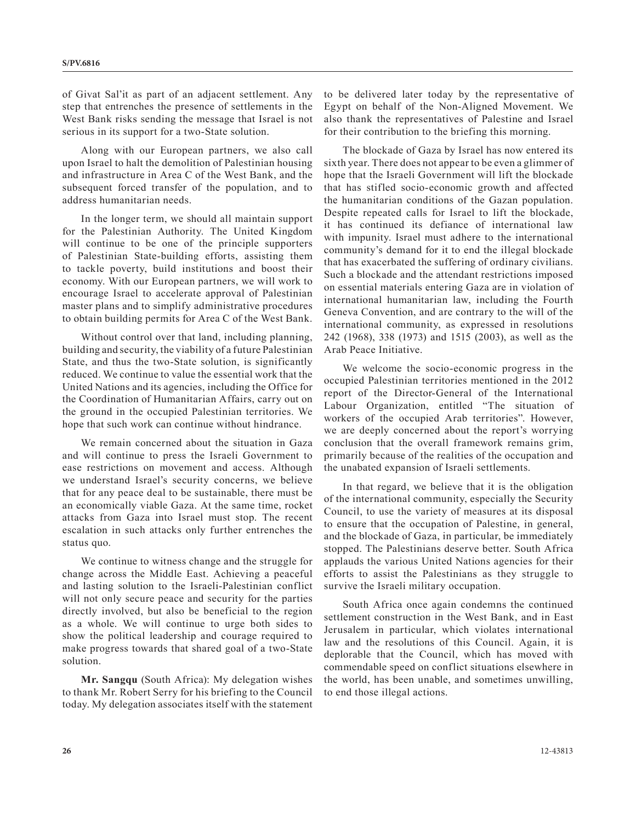of Givat Sal'it as part of an adjacent settlement. Any step that entrenches the presence of settlements in the West Bank risks sending the message that Israel is not serious in its support for a two-State solution.

Along with our European partners, we also call upon Israel to halt the demolition of Palestinian housing and infrastructure in Area C of the West Bank, and the subsequent forced transfer of the population, and to address humanitarian needs.

In the longer term, we should all maintain support for the Palestinian Authority. The United Kingdom will continue to be one of the principle supporters of Palestinian State-building efforts, assisting them to tackle poverty, build institutions and boost their economy. With our European partners, we will work to encourage Israel to accelerate approval of Palestinian master plans and to simplify administrative procedures to obtain building permits for Area C of the West Bank.

Without control over that land, including planning, building and security, the viability of a future Palestinian State, and thus the two-State solution, is significantly reduced. We continue to value the essential work that the United Nations and its agencies, including the Office for the Coordination of Humanitarian Affairs, carry out on the ground in the occupied Palestinian territories. We hope that such work can continue without hindrance.

We remain concerned about the situation in Gaza and will continue to press the Israeli Government to ease restrictions on movement and access. Although we understand Israel's security concerns, we believe that for any peace deal to be sustainable, there must be an economically viable Gaza. At the same time, rocket attacks from Gaza into Israel must stop. The recent escalation in such attacks only further entrenches the status quo.

We continue to witness change and the struggle for change across the Middle East. Achieving a peaceful and lasting solution to the Israeli-Palestinian conflict will not only secure peace and security for the parties directly involved, but also be beneficial to the region as a whole. We will continue to urge both sides to show the political leadership and courage required to make progress towards that shared goal of a two-State solution.

**Mr. Sangqu** (South Africa): My delegation wishes to thank Mr. Robert Serry for his briefing to the Council today. My delegation associates itself with the statement

to be delivered later today by the representative of Egypt on behalf of the Non-Aligned Movement. We also thank the representatives of Palestine and Israel for their contribution to the briefing this morning.

The blockade of Gaza by Israel has now entered its sixth year. There does not appear to be even a glimmer of hope that the Israeli Government will lift the blockade that has stifled socio-economic growth and affected the humanitarian conditions of the Gazan population. Despite repeated calls for Israel to lift the blockade, it has continued its defiance of international law with impunity. Israel must adhere to the international community's demand for it to end the illegal blockade that has exacerbated the suffering of ordinary civilians. Such a blockade and the attendant restrictions imposed on essential materials entering Gaza are in violation of international humanitarian law, including the Fourth Geneva Convention, and are contrary to the will of the international community, as expressed in resolutions 242 (1968), 338 (1973) and 1515 (2003), as well as the Arab Peace Initiative.

We welcome the socio-economic progress in the occupied Palestinian territories mentioned in the 2012 report of the Director-General of the International Labour Organization, entitled "The situation of workers of the occupied Arab territories". However, we are deeply concerned about the report's worrying conclusion that the overall framework remains grim, primarily because of the realities of the occupation and the unabated expansion of Israeli settlements.

In that regard, we believe that it is the obligation of the international community, especially the Security Council, to use the variety of measures at its disposal to ensure that the occupation of Palestine, in general, and the blockade of Gaza, in particular, be immediately stopped. The Palestinians deserve better. South Africa applauds the various United Nations agencies for their efforts to assist the Palestinians as they struggle to survive the Israeli military occupation.

South Africa once again condemns the continued settlement construction in the West Bank, and in East Jerusalem in particular, which violates international law and the resolutions of this Council. Again, it is deplorable that the Council, which has moved with commendable speed on conflict situations elsewhere in the world, has been unable, and sometimes unwilling, to end those illegal actions.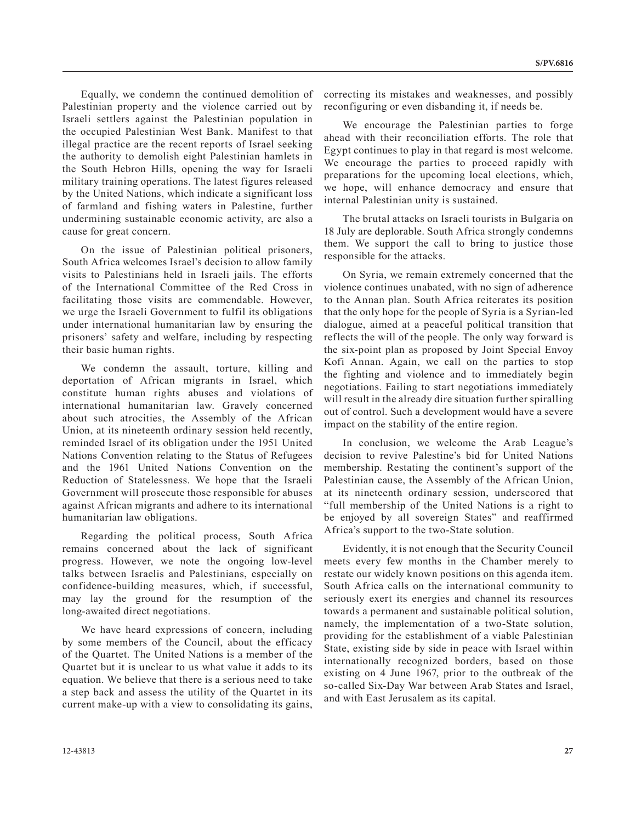Equally, we condemn the continued demolition of Palestinian property and the violence carried out by Israeli settlers against the Palestinian population in the occupied Palestinian West Bank. Manifest to that illegal practice are the recent reports of Israel seeking the authority to demolish eight Palestinian hamlets in the South Hebron Hills, opening the way for Israeli military training operations. The latest figures released by the United Nations, which indicate a significant loss of farmland and fishing waters in Palestine, further undermining sustainable economic activity, are also a cause for great concern.

On the issue of Palestinian political prisoners, South Africa welcomes Israel's decision to allow family visits to Palestinians held in Israeli jails. The efforts of the International Committee of the Red Cross in facilitating those visits are commendable. However, we urge the Israeli Government to fulfil its obligations under international humanitarian law by ensuring the prisoners' safety and welfare, including by respecting their basic human rights.

We condemn the assault, torture, killing and deportation of African migrants in Israel, which constitute human rights abuses and violations of international humanitarian law. Gravely concerned about such atrocities, the Assembly of the African Union, at its nineteenth ordinary session held recently, reminded Israel of its obligation under the 1951 United Nations Convention relating to the Status of Refugees and the 1961 United Nations Convention on the Reduction of Statelessness. We hope that the Israeli Government will prosecute those responsible for abuses against African migrants and adhere to its international humanitarian law obligations.

Regarding the political process, South Africa remains concerned about the lack of significant progress. However, we note the ongoing low-level talks between Israelis and Palestinians, especially on confidence-building measures, which, if successful, may lay the ground for the resumption of the long-awaited direct negotiations.

We have heard expressions of concern, including by some members of the Council, about the efficacy of the Quartet. The United Nations is a member of the Quartet but it is unclear to us what value it adds to its equation. We believe that there is a serious need to take a step back and assess the utility of the Quartet in its current make-up with a view to consolidating its gains, correcting its mistakes and weaknesses, and possibly reconfiguring or even disbanding it, if needs be.

We encourage the Palestinian parties to forge ahead with their reconciliation efforts. The role that Egypt continues to play in that regard is most welcome. We encourage the parties to proceed rapidly with preparations for the upcoming local elections, which, we hope, will enhance democracy and ensure that internal Palestinian unity is sustained.

The brutal attacks on Israeli tourists in Bulgaria on 18 July are deplorable. South Africa strongly condemns them. We support the call to bring to justice those responsible for the attacks.

On Syria, we remain extremely concerned that the violence continues unabated, with no sign of adherence to the Annan plan. South Africa reiterates its position that the only hope for the people of Syria is a Syrian-led dialogue, aimed at a peaceful political transition that reflects the will of the people. The only way forward is the six-point plan as proposed by Joint Special Envoy Kofi Annan. Again, we call on the parties to stop the fighting and violence and to immediately begin negotiations. Failing to start negotiations immediately will result in the already dire situation further spiralling out of control. Such a development would have a severe impact on the stability of the entire region.

In conclusion, we welcome the Arab League's decision to revive Palestine's bid for United Nations membership. Restating the continent's support of the Palestinian cause, the Assembly of the African Union, at its nineteenth ordinary session, underscored that "full membership of the United Nations is a right to be enjoyed by all sovereign States" and reaffirmed Africa's support to the two-State solution.

Evidently, it is not enough that the Security Council meets every few months in the Chamber merely to restate our widely known positions on this agenda item. South Africa calls on the international community to seriously exert its energies and channel its resources towards a permanent and sustainable political solution, namely, the implementation of a two-State solution, providing for the establishment of a viable Palestinian State, existing side by side in peace with Israel within internationally recognized borders, based on those existing on 4 June 1967, prior to the outbreak of the so-called Six-Day War between Arab States and Israel, and with East Jerusalem as its capital.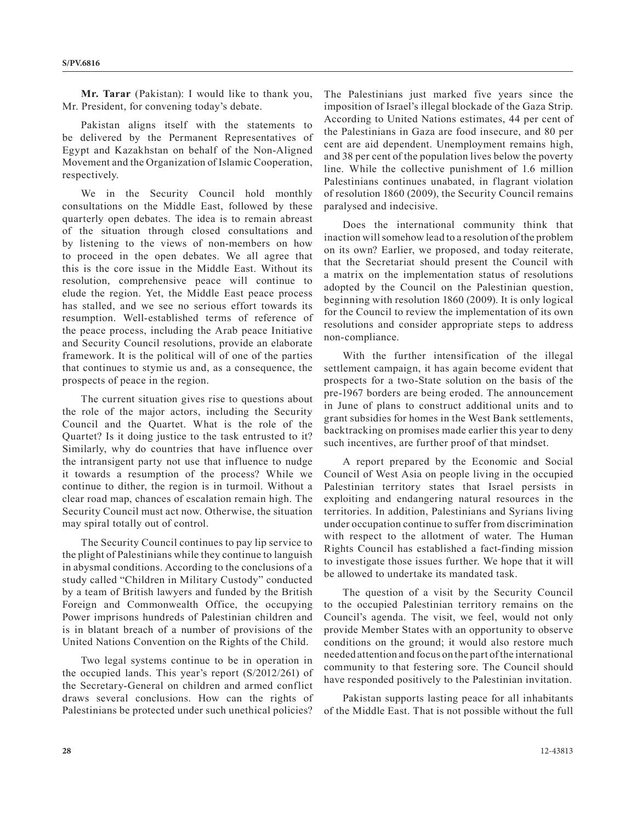**Mr. Tarar** (Pakistan): I would like to thank you, Mr. President, for convening today's debate.

Pakistan aligns itself with the statements to be delivered by the Permanent Representatives of Egypt and Kazakhstan on behalf of the Non-Aligned Movement and the Organization of Islamic Cooperation, respectively.

We in the Security Council hold monthly consultations on the Middle East, followed by these quarterly open debates. The idea is to remain abreast of the situation through closed consultations and by listening to the views of non-members on how to proceed in the open debates. We all agree that this is the core issue in the Middle East. Without its resolution, comprehensive peace will continue to elude the region. Yet, the Middle East peace process has stalled, and we see no serious effort towards its resumption. Well-established terms of reference of the peace process, including the Arab peace Initiative and Security Council resolutions, provide an elaborate framework. It is the political will of one of the parties that continues to stymie us and, as a consequence, the prospects of peace in the region.

The current situation gives rise to questions about the role of the major actors, including the Security Council and the Quartet. What is the role of the Quartet? Is it doing justice to the task entrusted to it? Similarly, why do countries that have influence over the intransigent party not use that influence to nudge it towards a resumption of the process? While we continue to dither, the region is in turmoil. Without a clear road map, chances of escalation remain high. The Security Council must act now. Otherwise, the situation may spiral totally out of control.

The Security Council continues to pay lip service to the plight of Palestinians while they continue to languish in abysmal conditions. According to the conclusions of a study called "Children in Military Custody" conducted by a team of British lawyers and funded by the British Foreign and Commonwealth Office, the occupying Power imprisons hundreds of Palestinian children and is in blatant breach of a number of provisions of the United Nations Convention on the Rights of the Child.

Two legal systems continue to be in operation in the occupied lands. This year's report (S/2012/261) of the Secretary-General on children and armed conflict draws several conclusions. How can the rights of Palestinians be protected under such unethical policies? The Palestinians just marked five years since the imposition of Israel's illegal blockade of the Gaza Strip. According to United Nations estimates, 44 per cent of the Palestinians in Gaza are food insecure, and 80 per cent are aid dependent. Unemployment remains high, and 38 per cent of the population lives below the poverty line. While the collective punishment of 1.6 million Palestinians continues unabated, in flagrant violation of resolution 1860 (2009), the Security Council remains paralysed and indecisive.

Does the international community think that inaction will somehow lead to a resolution of the problem on its own? Earlier, we proposed, and today reiterate, that the Secretariat should present the Council with a matrix on the implementation status of resolutions adopted by the Council on the Palestinian question, beginning with resolution 1860 (2009). It is only logical for the Council to review the implementation of its own resolutions and consider appropriate steps to address non-compliance.

With the further intensification of the illegal settlement campaign, it has again become evident that prospects for a two-State solution on the basis of the pre-1967 borders are being eroded. The announcement in June of plans to construct additional units and to grant subsidies for homes in the West Bank settlements, backtracking on promises made earlier this year to deny such incentives, are further proof of that mindset.

A report prepared by the Economic and Social Council of West Asia on people living in the occupied Palestinian territory states that Israel persists in exploiting and endangering natural resources in the territories. In addition, Palestinians and Syrians living under occupation continue to suffer from discrimination with respect to the allotment of water. The Human Rights Council has established a fact-finding mission to investigate those issues further. We hope that it will be allowed to undertake its mandated task.

The question of a visit by the Security Council to the occupied Palestinian territory remains on the Council's agenda. The visit, we feel, would not only provide Member States with an opportunity to observe conditions on the ground; it would also restore much needed attention and focus on the part of the international community to that festering sore. The Council should have responded positively to the Palestinian invitation.

Pakistan supports lasting peace for all inhabitants of the Middle East. That is not possible without the full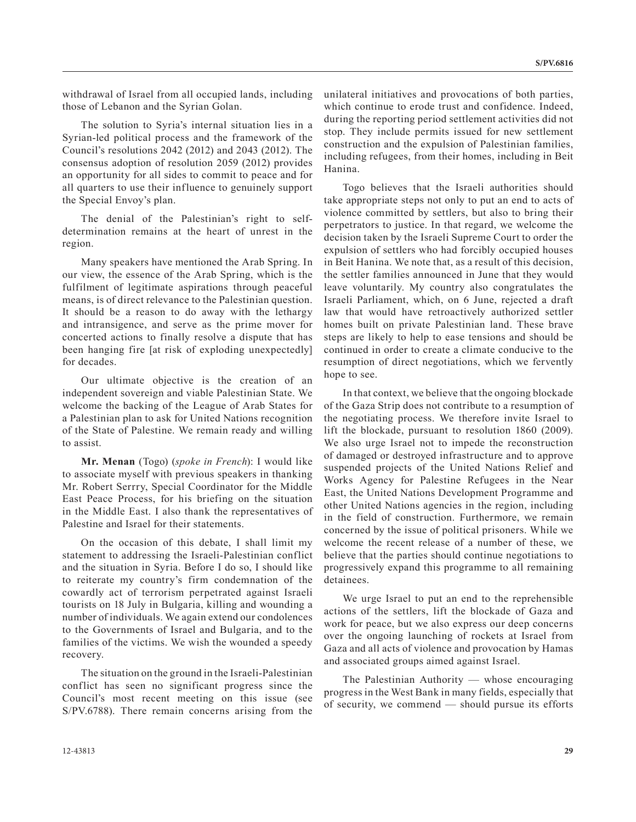withdrawal of Israel from all occupied lands, including those of Lebanon and the Syrian Golan.

The solution to Syria's internal situation lies in a Syrian-led political process and the framework of the Council's resolutions 2042 (2012) and 2043 (2012). The consensus adoption of resolution 2059 (2012) provides an opportunity for all sides to commit to peace and for all quarters to use their influence to genuinely support the Special Envoy's plan.

The denial of the Palestinian's right to selfdetermination remains at the heart of unrest in the region.

Many speakers have mentioned the Arab Spring. In our view, the essence of the Arab Spring, which is the fulfilment of legitimate aspirations through peaceful means, is of direct relevance to the Palestinian question. It should be a reason to do away with the lethargy and intransigence, and serve as the prime mover for concerted actions to finally resolve a dispute that has been hanging fire [at risk of exploding unexpectedly] for decades.

Our ultimate objective is the creation of an independent sovereign and viable Palestinian State. We welcome the backing of the League of Arab States for a Palestinian plan to ask for United Nations recognition of the State of Palestine. We remain ready and willing to assist.

**Mr. Menan** (Togo) (*spoke in French*): I would like to associate myself with previous speakers in thanking Mr. Robert Serrry, Special Coordinator for the Middle East Peace Process, for his briefing on the situation in the Middle East. I also thank the representatives of Palestine and Israel for their statements.

On the occasion of this debate, I shall limit my statement to addressing the Israeli-Palestinian conflict and the situation in Syria. Before I do so, I should like to reiterate my country's firm condemnation of the cowardly act of terrorism perpetrated against Israeli tourists on 18 July in Bulgaria, killing and wounding a number of individuals. We again extend our condolences to the Governments of Israel and Bulgaria, and to the families of the victims. We wish the wounded a speedy recovery.

The situation on the ground in the Israeli-Palestinian conflict has seen no significant progress since the Council's most recent meeting on this issue (see S/PV.6788). There remain concerns arising from the unilateral initiatives and provocations of both parties, which continue to erode trust and confidence. Indeed, during the reporting period settlement activities did not stop. They include permits issued for new settlement construction and the expulsion of Palestinian families, including refugees, from their homes, including in Beit Hanina.

Togo believes that the Israeli authorities should take appropriate steps not only to put an end to acts of violence committed by settlers, but also to bring their perpetrators to justice. In that regard, we welcome the decision taken by the Israeli Supreme Court to order the expulsion of settlers who had forcibly occupied houses in Beit Hanina. We note that, as a result of this decision, the settler families announced in June that they would leave voluntarily. My country also congratulates the Israeli Parliament, which, on 6 June, rejected a draft law that would have retroactively authorized settler homes built on private Palestinian land. These brave steps are likely to help to ease tensions and should be continued in order to create a climate conducive to the resumption of direct negotiations, which we fervently hope to see.

In that context, we believe that the ongoing blockade of the Gaza Strip does not contribute to a resumption of the negotiating process. We therefore invite Israel to lift the blockade, pursuant to resolution 1860 (2009). We also urge Israel not to impede the reconstruction of damaged or destroyed infrastructure and to approve suspended projects of the United Nations Relief and Works Agency for Palestine Refugees in the Near East, the United Nations Development Programme and other United Nations agencies in the region, including in the field of construction. Furthermore, we remain concerned by the issue of political prisoners. While we welcome the recent release of a number of these, we believe that the parties should continue negotiations to progressively expand this programme to all remaining detainees.

We urge Israel to put an end to the reprehensible actions of the settlers, lift the blockade of Gaza and work for peace, but we also express our deep concerns over the ongoing launching of rockets at Israel from Gaza and all acts of violence and provocation by Hamas and associated groups aimed against Israel.

The Palestinian Authority — whose encouraging progress in the West Bank in many fields, especially that of security, we commend — should pursue its efforts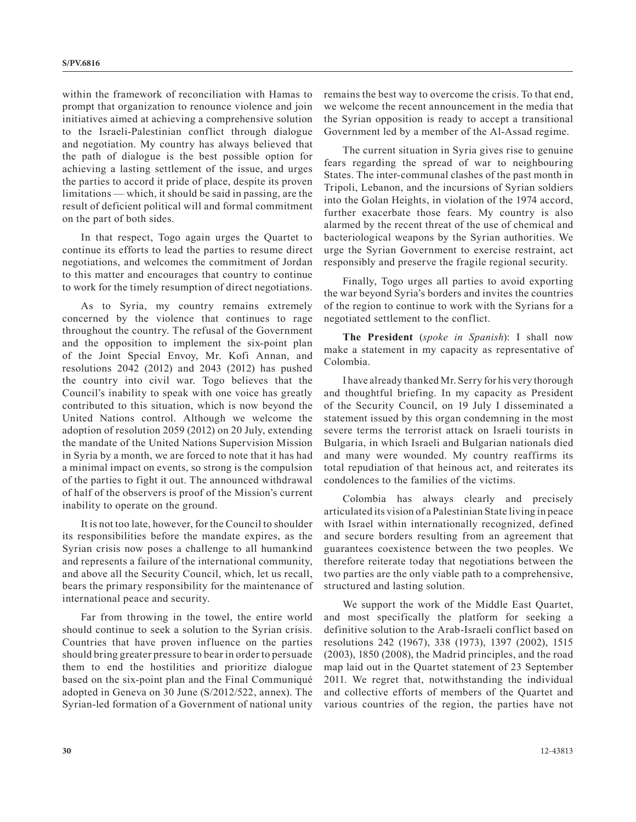within the framework of reconciliation with Hamas to prompt that organization to renounce violence and join initiatives aimed at achieving a comprehensive solution to the Israeli-Palestinian conflict through dialogue and negotiation. My country has always believed that the path of dialogue is the best possible option for achieving a lasting settlement of the issue, and urges the parties to accord it pride of place, despite its proven limitations — which, it should be said in passing, are the result of deficient political will and formal commitment on the part of both sides.

In that respect, Togo again urges the Quartet to continue its efforts to lead the parties to resume direct negotiations, and welcomes the commitment of Jordan to this matter and encourages that country to continue to work for the timely resumption of direct negotiations.

As to Syria, my country remains extremely concerned by the violence that continues to rage throughout the country. The refusal of the Government and the opposition to implement the six-point plan of the Joint Special Envoy, Mr. Kofi Annan, and resolutions 2042 (2012) and 2043 (2012) has pushed the country into civil war. Togo believes that the Council's inability to speak with one voice has greatly contributed to this situation, which is now beyond the United Nations control. Although we welcome the adoption of resolution 2059 (2012) on 20 July, extending the mandate of the United Nations Supervision Mission in Syria by a month, we are forced to note that it has had a minimal impact on events, so strong is the compulsion of the parties to fight it out. The announced withdrawal of half of the observers is proof of the Mission's current inability to operate on the ground.

It is not too late, however, for the Council to shoulder its responsibilities before the mandate expires, as the Syrian crisis now poses a challenge to all humankind and represents a failure of the international community, and above all the Security Council, which, let us recall, bears the primary responsibility for the maintenance of international peace and security.

Far from throwing in the towel, the entire world should continue to seek a solution to the Syrian crisis. Countries that have proven influence on the parties should bring greater pressure to bear in order to persuade them to end the hostilities and prioritize dialogue based on the six-point plan and the Final Communiqué adopted in Geneva on 30 June (S/2012/522, annex). The Syrian-led formation of a Government of national unity

remains the best way to overcome the crisis. To that end, we welcome the recent announcement in the media that the Syrian opposition is ready to accept a transitional Government led by a member of the Al-Assad regime.

The current situation in Syria gives rise to genuine fears regarding the spread of war to neighbouring States. The inter-communal clashes of the past month in Tripoli, Lebanon, and the incursions of Syrian soldiers into the Golan Heights, in violation of the 1974 accord, further exacerbate those fears. My country is also alarmed by the recent threat of the use of chemical and bacteriological weapons by the Syrian authorities. We urge the Syrian Government to exercise restraint, act responsibly and preserve the fragile regional security.

Finally, Togo urges all parties to avoid exporting the war beyond Syria's borders and invites the countries of the region to continue to work with the Syrians for a negotiated settlement to the conflict.

**The President** (*spoke in Spanish*): I shall now make a statement in my capacity as representative of Colombia.

I have already thanked Mr. Serry for his very thorough and thoughtful briefing. In my capacity as President of the Security Council, on 19 July I disseminated a statement issued by this organ condemning in the most severe terms the terrorist attack on Israeli tourists in Bulgaria, in which Israeli and Bulgarian nationals died and many were wounded. My country reaffirms its total repudiation of that heinous act, and reiterates its condolences to the families of the victims.

Colombia has always clearly and precisely articulated its vision of a Palestinian State living in peace with Israel within internationally recognized, defined and secure borders resulting from an agreement that guarantees coexistence between the two peoples. We therefore reiterate today that negotiations between the two parties are the only viable path to a comprehensive, structured and lasting solution.

We support the work of the Middle East Quartet, and most specifically the platform for seeking a definitive solution to the Arab-Israeli conflict based on resolutions 242 (1967), 338 (1973), 1397 (2002), 1515 (2003), 1850 (2008), the Madrid principles, and the road map laid out in the Quartet statement of 23 September 2011. We regret that, notwithstanding the individual and collective efforts of members of the Quartet and various countries of the region, the parties have not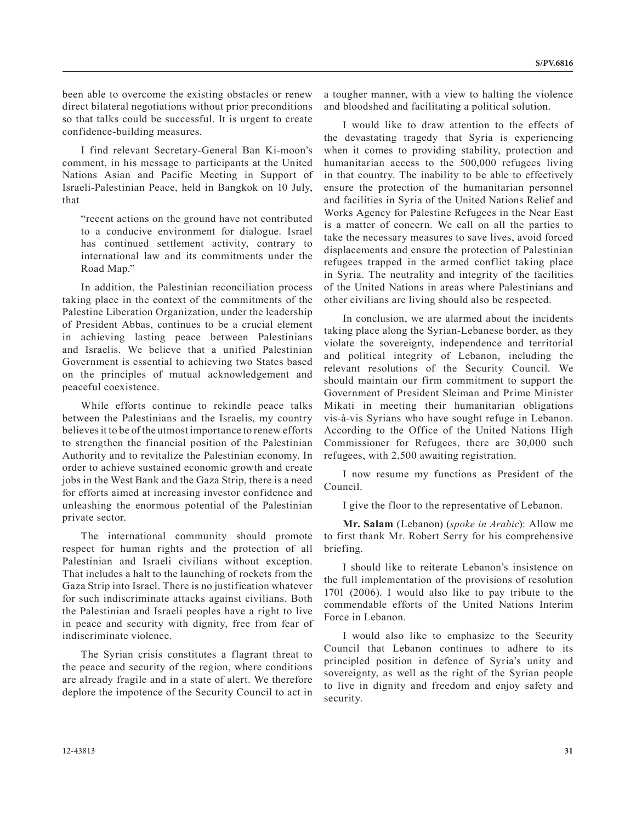been able to overcome the existing obstacles or renew direct bilateral negotiations without prior preconditions so that talks could be successful. It is urgent to create confidence-building measures.

I find relevant Secretary-General Ban Ki-moon's comment, in his message to participants at the United Nations Asian and Pacific Meeting in Support of Israeli-Palestinian Peace, held in Bangkok on 10 July, that

"recent actions on the ground have not contributed to a conducive environment for dialogue. Israel has continued settlement activity, contrary to international law and its commitments under the Road Map."

In addition, the Palestinian reconciliation process taking place in the context of the commitments of the Palestine Liberation Organization, under the leadership of President Abbas, continues to be a crucial element in achieving lasting peace between Palestinians and Israelis. We believe that a unified Palestinian Government is essential to achieving two States based on the principles of mutual acknowledgement and peaceful coexistence.

While efforts continue to rekindle peace talks between the Palestinians and the Israelis, my country believes it to be of the utmost importance to renew efforts to strengthen the financial position of the Palestinian Authority and to revitalize the Palestinian economy. In order to achieve sustained economic growth and create jobs in the West Bank and the Gaza Strip, there is a need for efforts aimed at increasing investor confidence and unleashing the enormous potential of the Palestinian private sector.

The international community should promote respect for human rights and the protection of all Palestinian and Israeli civilians without exception. That includes a halt to the launching of rockets from the Gaza Strip into Israel. There is no justification whatever for such indiscriminate attacks against civilians. Both the Palestinian and Israeli peoples have a right to live in peace and security with dignity, free from fear of indiscriminate violence.

The Syrian crisis constitutes a flagrant threat to the peace and security of the region, where conditions are already fragile and in a state of alert. We therefore deplore the impotence of the Security Council to act in a tougher manner, with a view to halting the violence and bloodshed and facilitating a political solution.

I would like to draw attention to the effects of the devastating tragedy that Syria is experiencing when it comes to providing stability, protection and humanitarian access to the 500,000 refugees living in that country. The inability to be able to effectively ensure the protection of the humanitarian personnel and facilities in Syria of the United Nations Relief and Works Agency for Palestine Refugees in the Near East is a matter of concern. We call on all the parties to take the necessary measures to save lives, avoid forced displacements and ensure the protection of Palestinian refugees trapped in the armed conflict taking place in Syria. The neutrality and integrity of the facilities of the United Nations in areas where Palestinians and other civilians are living should also be respected.

In conclusion, we are alarmed about the incidents taking place along the Syrian-Lebanese border, as they violate the sovereignty, independence and territorial and political integrity of Lebanon, including the relevant resolutions of the Security Council. We should maintain our firm commitment to support the Government of President Sleiman and Prime Minister Mikati in meeting their humanitarian obligations vis-à-vis Syrians who have sought refuge in Lebanon. According to the Office of the United Nations High Commissioner for Refugees, there are 30,000 such refugees, with 2,500 awaiting registration.

I now resume my functions as President of the Council.

I give the floor to the representative of Lebanon.

**Mr. Salam** (Lebanon) (*spoke in Arabic*): Allow me to first thank Mr. Robert Serry for his comprehensive briefing.

I should like to reiterate Lebanon's insistence on the full implementation of the provisions of resolution 1701 (2006). I would also like to pay tribute to the commendable efforts of the United Nations Interim Force in Lebanon.

I would also like to emphasize to the Security Council that Lebanon continues to adhere to its principled position in defence of Syria's unity and sovereignty, as well as the right of the Syrian people to live in dignity and freedom and enjoy safety and security.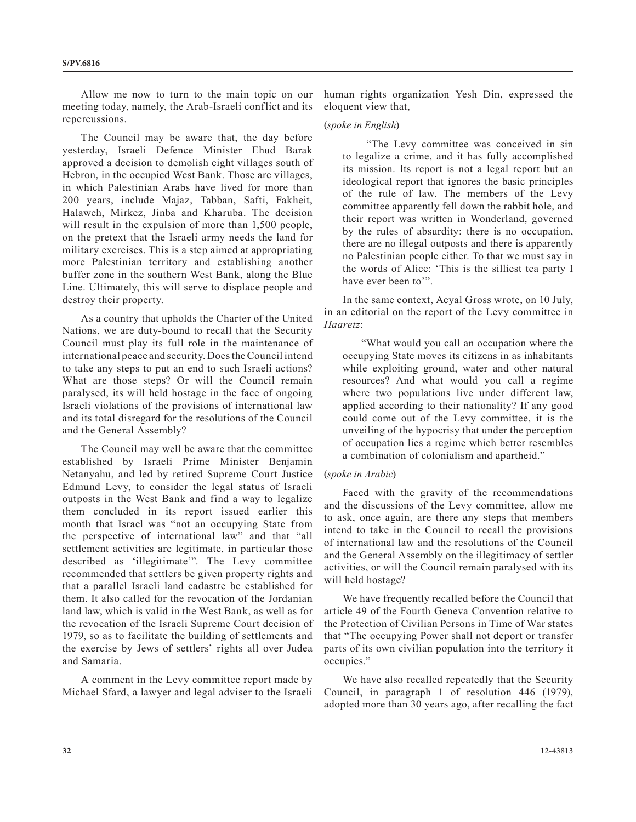Allow me now to turn to the main topic on our meeting today, namely, the Arab-Israeli conflict and its repercussions.

The Council may be aware that, the day before yesterday, Israeli Defence Minister Ehud Barak approved a decision to demolish eight villages south of Hebron, in the occupied West Bank. Those are villages, in which Palestinian Arabs have lived for more than 200 years, include Majaz, Tabban, Safti, Fakheit, Halaweh, Mirkez, Jinba and Kharuba. The decision will result in the expulsion of more than 1,500 people, on the pretext that the Israeli army needs the land for military exercises. This is a step aimed at appropriating more Palestinian territory and establishing another buffer zone in the southern West Bank, along the Blue Line. Ultimately, this will serve to displace people and destroy their property.

As a country that upholds the Charter of the United Nations, we are duty-bound to recall that the Security Council must play its full role in the maintenance of international peace and security. Does the Council intend to take any steps to put an end to such Israeli actions? What are those steps? Or will the Council remain paralysed, its will held hostage in the face of ongoing Israeli violations of the provisions of international law and its total disregard for the resolutions of the Council and the General Assembly?

The Council may well be aware that the committee established by Israeli Prime Minister Benjamin Netanyahu, and led by retired Supreme Court Justice Edmund Levy, to consider the legal status of Israeli outposts in the West Bank and find a way to legalize them concluded in its report issued earlier this month that Israel was "not an occupying State from the perspective of international law" and that "all settlement activities are legitimate, in particular those described as 'illegitimate'". The Levy committee recommended that settlers be given property rights and that a parallel Israeli land cadastre be established for them. It also called for the revocation of the Jordanian land law, which is valid in the West Bank, as well as for the revocation of the Israeli Supreme Court decision of 1979, so as to facilitate the building of settlements and the exercise by Jews of settlers' rights all over Judea and Samaria.

A comment in the Levy committee report made by Michael Sfard, a lawyer and legal adviser to the Israeli human rights organization Yesh Din, expressed the eloquent view that,

#### (*spoke in English*)

 "The Levy committee was conceived in sin to legalize a crime, and it has fully accomplished its mission. Its report is not a legal report but an ideological report that ignores the basic principles of the rule of law. The members of the Levy committee apparently fell down the rabbit hole, and their report was written in Wonderland, governed by the rules of absurdity: there is no occupation, there are no illegal outposts and there is apparently no Palestinian people either. To that we must say in the words of Alice: 'This is the silliest tea party I have ever been to".

In the same context, Aeyal Gross wrote, on 10 July, in an editorial on the report of the Levy committee in *Haaretz*:

"What would you call an occupation where the occupying State moves its citizens in as inhabitants while exploiting ground, water and other natural resources? And what would you call a regime where two populations live under different law, applied according to their nationality? If any good could come out of the Levy committee, it is the unveiling of the hypocrisy that under the perception of occupation lies a regime which better resembles a combination of colonialism and apartheid."

#### (*spoke in Arabic*)

Faced with the gravity of the recommendations and the discussions of the Levy committee, allow me to ask, once again, are there any steps that members intend to take in the Council to recall the provisions of international law and the resolutions of the Council and the General Assembly on the illegitimacy of settler activities, or will the Council remain paralysed with its will held hostage?

We have frequently recalled before the Council that article 49 of the Fourth Geneva Convention relative to the Protection of Civilian Persons in Time of War states that "The occupying Power shall not deport or transfer parts of its own civilian population into the territory it occupies."

We have also recalled repeatedly that the Security Council, in paragraph 1 of resolution 446 (1979), adopted more than 30 years ago, after recalling the fact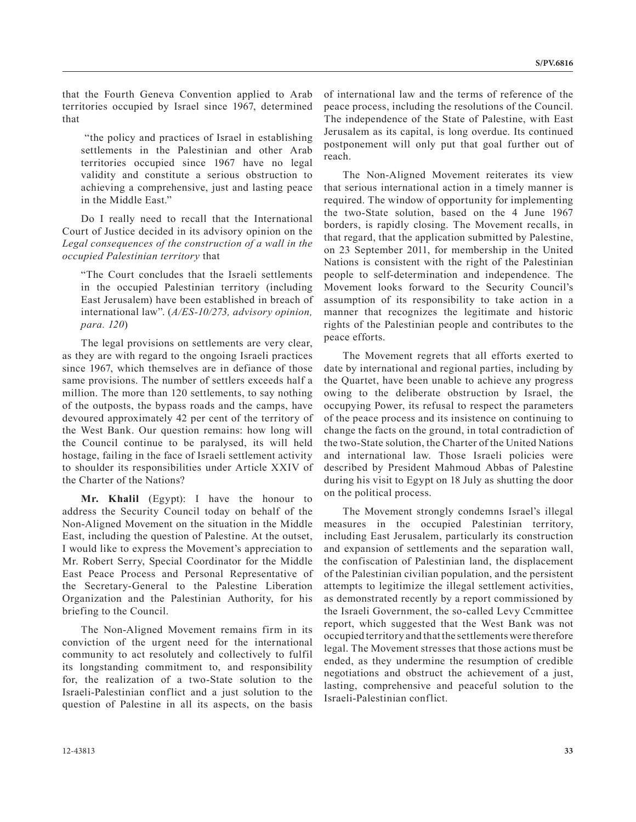that the Fourth Geneva Convention applied to Arab territories occupied by Israel since 1967, determined that

 "the policy and practices of Israel in establishing settlements in the Palestinian and other Arab territories occupied since 1967 have no legal validity and constitute a serious obstruction to achieving a comprehensive, just and lasting peace in the Middle East."

Do I really need to recall that the International Court of Justice decided in its advisory opinion on the *Legal consequences of the construction of a wall in the occupied Palestinian territory* that

"The Court concludes that the Israeli settlements in the occupied Palestinian territory (including East Jerusalem) have been established in breach of international law". (*A/ES-10/273, advisory opinion, para. 120*)

The legal provisions on settlements are very clear, as they are with regard to the ongoing Israeli practices since 1967, which themselves are in defiance of those same provisions. The number of settlers exceeds half a million. The more than 120 settlements, to say nothing of the outposts, the bypass roads and the camps, have devoured approximately 42 per cent of the territory of the West Bank. Our question remains: how long will the Council continue to be paralysed, its will held hostage, failing in the face of Israeli settlement activity to shoulder its responsibilities under Article XXIV of the Charter of the Nations?

**Mr. Khalil** (Egypt): I have the honour to address the Security Council today on behalf of the Non-Aligned Movement on the situation in the Middle East, including the question of Palestine. At the outset, I would like to express the Movement's appreciation to Mr. Robert Serry, Special Coordinator for the Middle East Peace Process and Personal Representative of the Secretary-General to the Palestine Liberation Organization and the Palestinian Authority, for his briefing to the Council.

The Non-Aligned Movement remains firm in its conviction of the urgent need for the international community to act resolutely and collectively to fulfil its longstanding commitment to, and responsibility for, the realization of a two-State solution to the Israeli-Palestinian conflict and a just solution to the question of Palestine in all its aspects, on the basis

of international law and the terms of reference of the peace process, including the resolutions of the Council. The independence of the State of Palestine, with East Jerusalem as its capital, is long overdue. Its continued postponement will only put that goal further out of reach.

The Non-Aligned Movement reiterates its view that serious international action in a timely manner is required. The window of opportunity for implementing the two-State solution, based on the 4 June 1967 borders, is rapidly closing. The Movement recalls, in that regard, that the application submitted by Palestine, on 23 September 2011, for membership in the United Nations is consistent with the right of the Palestinian people to self-determination and independence. The Movement looks forward to the Security Council's assumption of its responsibility to take action in a manner that recognizes the legitimate and historic rights of the Palestinian people and contributes to the peace efforts.

The Movement regrets that all efforts exerted to date by international and regional parties, including by the Quartet, have been unable to achieve any progress owing to the deliberate obstruction by Israel, the occupying Power, its refusal to respect the parameters of the peace process and its insistence on continuing to change the facts on the ground, in total contradiction of the two-State solution, the Charter of the United Nations and international law. Those Israeli policies were described by President Mahmoud Abbas of Palestine during his visit to Egypt on 18 July as shutting the door on the political process.

The Movement strongly condemns Israel's illegal measures in the occupied Palestinian territory, including East Jerusalem, particularly its construction and expansion of settlements and the separation wall, the confiscation of Palestinian land, the displacement of the Palestinian civilian population, and the persistent attempts to legitimize the illegal settlement activities, as demonstrated recently by a report commissioned by the Israeli Government, the so-called Levy Ccmmittee report, which suggested that the West Bank was not occupied territory and that the settlements were therefore legal. The Movement stresses that those actions must be ended, as they undermine the resumption of credible negotiations and obstruct the achievement of a just, lasting, comprehensive and peaceful solution to the Israeli-Palestinian conflict.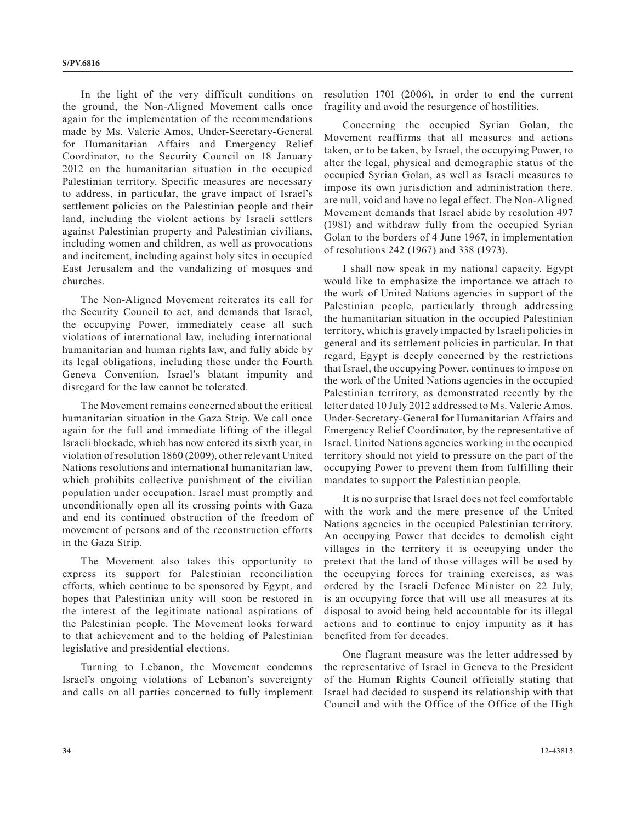In the light of the very difficult conditions on the ground, the Non-Aligned Movement calls once again for the implementation of the recommendations made by Ms. Valerie Amos, Under-Secretary-General for Humanitarian Affairs and Emergency Relief Coordinator, to the Security Council on 18 January 2012 on the humanitarian situation in the occupied Palestinian territory. Specific measures are necessary to address, in particular, the grave impact of Israel's settlement policies on the Palestinian people and their land, including the violent actions by Israeli settlers against Palestinian property and Palestinian civilians, including women and children, as well as provocations and incitement, including against holy sites in occupied East Jerusalem and the vandalizing of mosques and churches.

The Non-Aligned Movement reiterates its call for the Security Council to act, and demands that Israel, the occupying Power, immediately cease all such violations of international law, including international humanitarian and human rights law, and fully abide by its legal obligations, including those under the Fourth Geneva Convention. Israel's blatant impunity and disregard for the law cannot be tolerated.

The Movement remains concerned about the critical humanitarian situation in the Gaza Strip. We call once again for the full and immediate lifting of the illegal Israeli blockade, which has now entered its sixth year, in violation of resolution 1860 (2009), other relevant United Nations resolutions and international humanitarian law, which prohibits collective punishment of the civilian population under occupation. Israel must promptly and unconditionally open all its crossing points with Gaza and end its continued obstruction of the freedom of movement of persons and of the reconstruction efforts in the Gaza Strip.

The Movement also takes this opportunity to express its support for Palestinian reconciliation efforts, which continue to be sponsored by Egypt, and hopes that Palestinian unity will soon be restored in the interest of the legitimate national aspirations of the Palestinian people. The Movement looks forward to that achievement and to the holding of Palestinian legislative and presidential elections.

Turning to Lebanon, the Movement condemns Israel's ongoing violations of Lebanon's sovereignty and calls on all parties concerned to fully implement resolution 1701 (2006), in order to end the current fragility and avoid the resurgence of hostilities.

Concerning the occupied Syrian Golan, the Movement reaffirms that all measures and actions taken, or to be taken, by Israel, the occupying Power, to alter the legal, physical and demographic status of the occupied Syrian Golan, as well as Israeli measures to impose its own jurisdiction and administration there, are null, void and have no legal effect. The Non-Aligned Movement demands that Israel abide by resolution 497 (1981) and withdraw fully from the occupied Syrian Golan to the borders of 4 June 1967, in implementation of resolutions 242 (1967) and 338 (1973).

I shall now speak in my national capacity. Egypt would like to emphasize the importance we attach to the work of United Nations agencies in support of the Palestinian people, particularly through addressing the humanitarian situation in the occupied Palestinian territory, which is gravely impacted by Israeli policies in general and its settlement policies in particular. In that regard, Egypt is deeply concerned by the restrictions that Israel, the occupying Power, continues to impose on the work of the United Nations agencies in the occupied Palestinian territory, as demonstrated recently by the letter dated 10 July 2012 addressed to Ms. Valerie Amos, Under-Secretary-General for Humanitarian Affairs and Emergency Relief Coordinator, by the representative of Israel. United Nations agencies working in the occupied territory should not yield to pressure on the part of the occupying Power to prevent them from fulfilling their mandates to support the Palestinian people.

It is no surprise that Israel does not feel comfortable with the work and the mere presence of the United Nations agencies in the occupied Palestinian territory. An occupying Power that decides to demolish eight villages in the territory it is occupying under the pretext that the land of those villages will be used by the occupying forces for training exercises, as was ordered by the Israeli Defence Minister on 22 July, is an occupying force that will use all measures at its disposal to avoid being held accountable for its illegal actions and to continue to enjoy impunity as it has benefited from for decades.

One flagrant measure was the letter addressed by the representative of Israel in Geneva to the President of the Human Rights Council officially stating that Israel had decided to suspend its relationship with that Council and with the Office of the Office of the High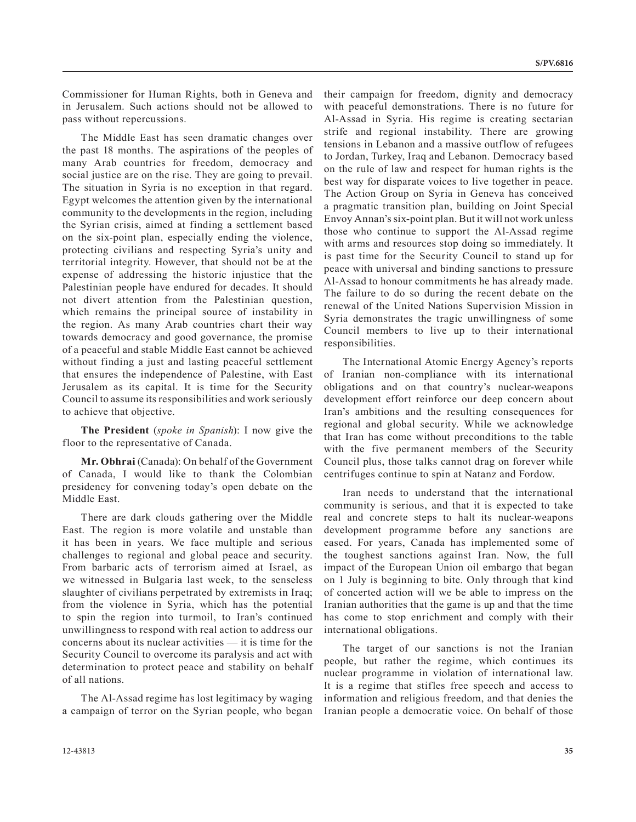Commissioner for Human Rights, both in Geneva and in Jerusalem. Such actions should not be allowed to pass without repercussions.

The Middle East has seen dramatic changes over the past 18 months. The aspirations of the peoples of many Arab countries for freedom, democracy and social justice are on the rise. They are going to prevail. The situation in Syria is no exception in that regard. Egypt welcomes the attention given by the international community to the developments in the region, including the Syrian crisis, aimed at finding a settlement based on the six-point plan, especially ending the violence, protecting civilians and respecting Syria's unity and territorial integrity. However, that should not be at the expense of addressing the historic injustice that the Palestinian people have endured for decades. It should not divert attention from the Palestinian question, which remains the principal source of instability in the region. As many Arab countries chart their way towards democracy and good governance, the promise of a peaceful and stable Middle East cannot be achieved without finding a just and lasting peaceful settlement that ensures the independence of Palestine, with East Jerusalem as its capital. It is time for the Security Council to assume its responsibilities and work seriously to achieve that objective.

**The President** (*spoke in Spanish*): I now give the floor to the representative of Canada.

**Mr. Obhrai** (Canada): On behalf of the Government of Canada, I would like to thank the Colombian presidency for convening today's open debate on the Middle East.

There are dark clouds gathering over the Middle East. The region is more volatile and unstable than it has been in years. We face multiple and serious challenges to regional and global peace and security. From barbaric acts of terrorism aimed at Israel, as we witnessed in Bulgaria last week, to the senseless slaughter of civilians perpetrated by extremists in Iraq; from the violence in Syria, which has the potential to spin the region into turmoil, to Iran's continued unwillingness to respond with real action to address our concerns about its nuclear activities — it is time for the Security Council to overcome its paralysis and act with determination to protect peace and stability on behalf of all nations.

The Al-Assad regime has lost legitimacy by waging a campaign of terror on the Syrian people, who began their campaign for freedom, dignity and democracy with peaceful demonstrations. There is no future for Al-Assad in Syria. His regime is creating sectarian strife and regional instability. There are growing tensions in Lebanon and a massive outflow of refugees to Jordan, Turkey, Iraq and Lebanon. Democracy based on the rule of law and respect for human rights is the best way for disparate voices to live together in peace. The Action Group on Syria in Geneva has conceived a pragmatic transition plan, building on Joint Special Envoy Annan's six-point plan. But it will not work unless those who continue to support the Al-Assad regime with arms and resources stop doing so immediately. It is past time for the Security Council to stand up for peace with universal and binding sanctions to pressure Al-Assad to honour commitments he has already made. The failure to do so during the recent debate on the renewal of the United Nations Supervision Mission in Syria demonstrates the tragic unwillingness of some Council members to live up to their international responsibilities.

The International Atomic Energy Agency's reports of Iranian non-compliance with its international obligations and on that country's nuclear-weapons development effort reinforce our deep concern about Iran's ambitions and the resulting consequences for regional and global security. While we acknowledge that Iran has come without preconditions to the table with the five permanent members of the Security Council plus, those talks cannot drag on forever while centrifuges continue to spin at Natanz and Fordow.

Iran needs to understand that the international community is serious, and that it is expected to take real and concrete steps to halt its nuclear-weapons development programme before any sanctions are eased. For years, Canada has implemented some of the toughest sanctions against Iran. Now, the full impact of the European Union oil embargo that began on 1 July is beginning to bite. Only through that kind of concerted action will we be able to impress on the Iranian authorities that the game is up and that the time has come to stop enrichment and comply with their international obligations.

The target of our sanctions is not the Iranian people, but rather the regime, which continues its nuclear programme in violation of international law. It is a regime that stifles free speech and access to information and religious freedom, and that denies the Iranian people a democratic voice. On behalf of those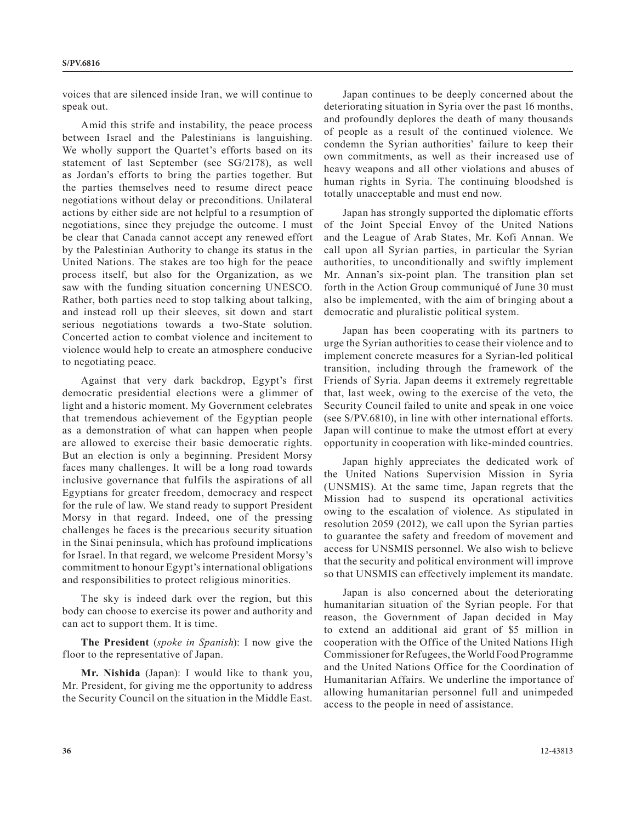voices that are silenced inside Iran, we will continue to speak out.

Amid this strife and instability, the peace process between Israel and the Palestinians is languishing. We wholly support the Quartet's efforts based on its statement of last September (see SG/2178), as well as Jordan's efforts to bring the parties together. But the parties themselves need to resume direct peace negotiations without delay or preconditions. Unilateral actions by either side are not helpful to a resumption of negotiations, since they prejudge the outcome. I must be clear that Canada cannot accept any renewed effort by the Palestinian Authority to change its status in the United Nations. The stakes are too high for the peace process itself, but also for the Organization, as we saw with the funding situation concerning UNESCO. Rather, both parties need to stop talking about talking, and instead roll up their sleeves, sit down and start serious negotiations towards a two-State solution. Concerted action to combat violence and incitement to violence would help to create an atmosphere conducive to negotiating peace.

Against that very dark backdrop, Egypt's first democratic presidential elections were a glimmer of light and a historic moment. My Government celebrates that tremendous achievement of the Egyptian people as a demonstration of what can happen when people are allowed to exercise their basic democratic rights. But an election is only a beginning. President Morsy faces many challenges. It will be a long road towards inclusive governance that fulfils the aspirations of all Egyptians for greater freedom, democracy and respect for the rule of law. We stand ready to support President Morsy in that regard. Indeed, one of the pressing challenges he faces is the precarious security situation in the Sinai peninsula, which has profound implications for Israel. In that regard, we welcome President Morsy's commitment to honour Egypt's international obligations and responsibilities to protect religious minorities.

The sky is indeed dark over the region, but this body can choose to exercise its power and authority and can act to support them. It is time.

**The President** (*spoke in Spanish*): I now give the floor to the representative of Japan.

**Mr. Nishida** (Japan): I would like to thank you, Mr. President, for giving me the opportunity to address the Security Council on the situation in the Middle East.

Japan continues to be deeply concerned about the deteriorating situation in Syria over the past 16 months, and profoundly deplores the death of many thousands of people as a result of the continued violence. We condemn the Syrian authorities' failure to keep their own commitments, as well as their increased use of heavy weapons and all other violations and abuses of human rights in Syria. The continuing bloodshed is totally unacceptable and must end now.

Japan has strongly supported the diplomatic efforts of the Joint Special Envoy of the United Nations and the League of Arab States, Mr. Kofi Annan. We call upon all Syrian parties, in particular the Syrian authorities, to unconditionally and swiftly implement Mr. Annan's six-point plan. The transition plan set forth in the Action Group communiqué of June 30 must also be implemented, with the aim of bringing about a democratic and pluralistic political system.

Japan has been cooperating with its partners to urge the Syrian authorities to cease their violence and to implement concrete measures for a Syrian-led political transition, including through the framework of the Friends of Syria. Japan deems it extremely regrettable that, last week, owing to the exercise of the veto, the Security Council failed to unite and speak in one voice (see S/PV.6810), in line with other international efforts. Japan will continue to make the utmost effort at every opportunity in cooperation with like-minded countries.

Japan highly appreciates the dedicated work of the United Nations Supervision Mission in Syria (UNSMIS). At the same time, Japan regrets that the Mission had to suspend its operational activities owing to the escalation of violence. As stipulated in resolution 2059 (2012), we call upon the Syrian parties to guarantee the safety and freedom of movement and access for UNSMIS personnel. We also wish to believe that the security and political environment will improve so that UNSMIS can effectively implement its mandate.

Japan is also concerned about the deteriorating humanitarian situation of the Syrian people. For that reason, the Government of Japan decided in May to extend an additional aid grant of \$5 million in cooperation with the Office of the United Nations High Commissioner for Refugees, the World Food Programme and the United Nations Office for the Coordination of Humanitarian Affairs. We underline the importance of allowing humanitarian personnel full and unimpeded access to the people in need of assistance.